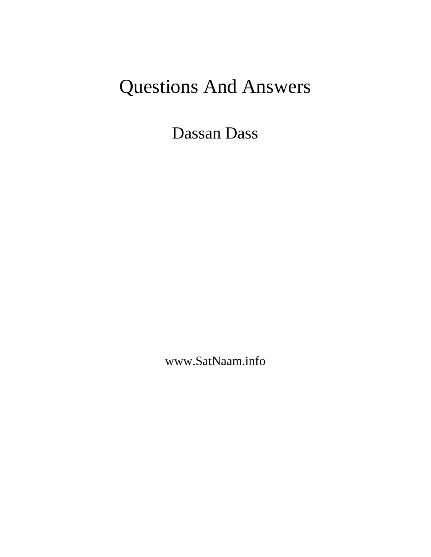# Questions And Answers

Dassan Dass

www.SatNaam.info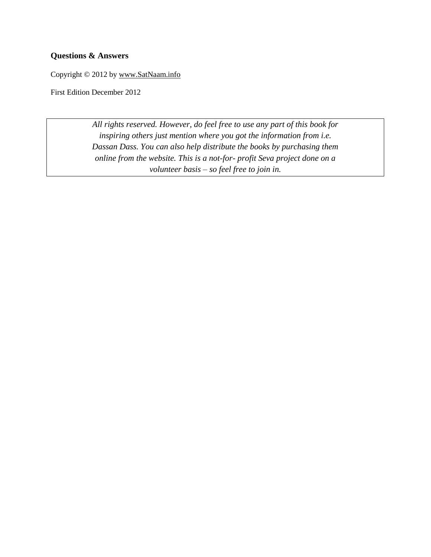#### **Questions & Answers**

Copyright © 2012 by [www.SatNaam.info](http://www.satnaam.info/)

First Edition December 2012

*All rights reserved. However, do feel free to use any part of this book for inspiring others just mention where you got the information from i.e. Dassan Dass. You can also help distribute the books by purchasing them online from the website. This is a not-for- profit Seva project done on a volunteer basis – so feel free to join in.*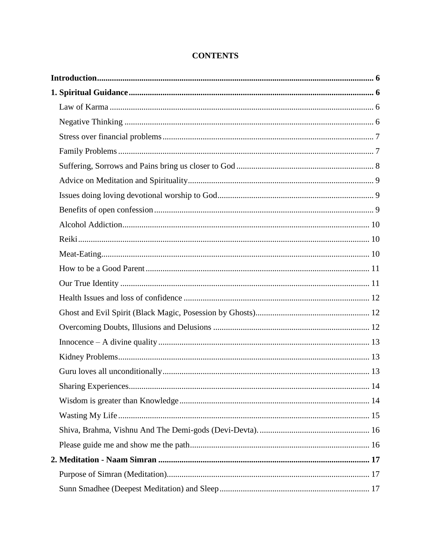| 14 |
|----|
|    |
|    |
|    |
|    |
|    |
|    |
|    |

## **CONTENTS**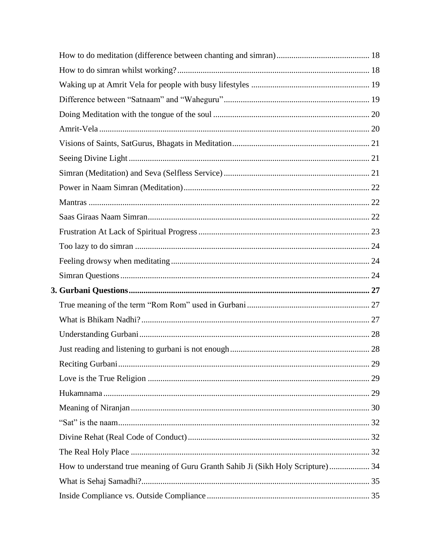|                                                                                  | 29 |
|----------------------------------------------------------------------------------|----|
|                                                                                  |    |
|                                                                                  |    |
|                                                                                  |    |
|                                                                                  |    |
|                                                                                  |    |
|                                                                                  |    |
| How to understand true meaning of Guru Granth Sahib Ji (Sikh Holy Scripture)  34 |    |
|                                                                                  |    |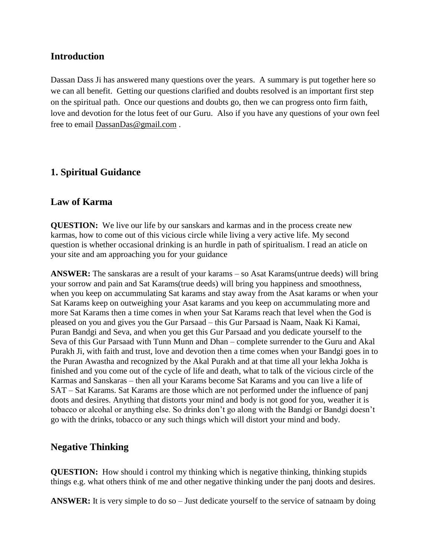#### <span id="page-5-0"></span>**Introduction**

Dassan Dass Ji has answered many questions over the years. A summary is put together here so we can all benefit. Getting our questions clarified and doubts resolved is an important first step on the spiritual path. Once our questions and doubts go, then we can progress onto firm faith, love and devotion for the lotus feet of our Guru. Also if you have any questions of your own feel free to email [DassanDas@gmail.com](mailto:DassanDas@gmail.com) .

## <span id="page-5-1"></span>**1. Spiritual Guidance**

#### <span id="page-5-2"></span>**Law of Karma**

**QUESTION:** We live our life by our sanskars and karmas and in the process create new karmas, how to come out of this vicious circle while living a very active life. My second question is whether occasional drinking is an hurdle in path of spiritualism. I read an aticle on your site and am approaching you for your guidance

**ANSWER:** The sanskaras are a result of your karams – so Asat Karams(untrue deeds) will bring your sorrow and pain and Sat Karams(true deeds) will bring you happiness and smoothness, when you keep on accummulating Sat karams and stay away from the Asat karams or when your Sat Karams keep on outweighing your Asat karams and you keep on accummulating more and more Sat Karams then a time comes in when your Sat Karams reach that level when the God is pleased on you and gives you the Gur Parsaad – this Gur Parsaad is Naam, Naak Ki Kamai, Puran Bandgi and Seva, and when you get this Gur Parsaad and you dedicate yourself to the Seva of this Gur Parsaad with Tunn Munn and Dhan – complete surrender to the Guru and Akal Purakh Ji, with faith and trust, love and devotion then a time comes when your Bandgi goes in to the Puran Awastha and recognized by the Akal Purakh and at that time all your lekha Jokha is finished and you come out of the cycle of life and death, what to talk of the vicious circle of the Karmas and Sanskaras – then all your Karams become Sat Karams and you can live a life of SAT – Sat Karams. Sat Karams are those which are not performed under the influence of panj doots and desires. Anything that distorts your mind and body is not good for you, weather it is tobacco or alcohal or anything else. So drinks don't go along with the Bandgi or Bandgi doesn't go with the drinks, tobacco or any such things which will distort your mind and body.

## <span id="page-5-3"></span>**Negative Thinking**

**QUESTION:** How should i control my thinking which is negative thinking, thinking stupids things e.g. what others think of me and other negative thinking under the panj doots and desires.

**ANSWER:** It is very simple to do so – Just dedicate yourself to the service of satnaam by doing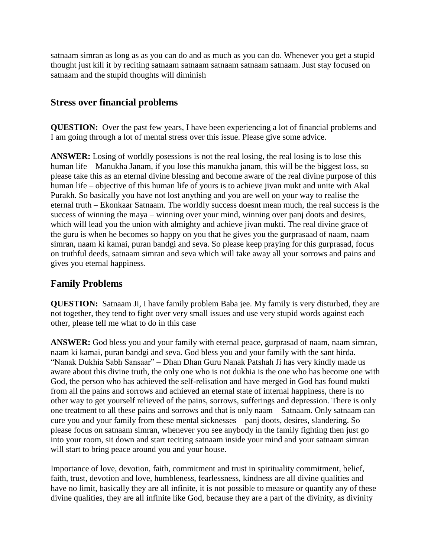satnaam simran as long as as you can do and as much as you can do. Whenever you get a stupid thought just kill it by reciting satnaam satnaam satnaam satnaam satnaam. Just stay focused on satnaam and the stupid thoughts will diminish

#### <span id="page-6-0"></span>**Stress over financial problems**

**QUESTION:** Over the past few years, I have been experiencing a lot of financial problems and I am going through a lot of mental stress over this issue. Please give some advice.

**ANSWER:** Losing of worldly posessions is not the real losing, the real losing is to lose this human life – Manukha Janam, if you lose this manukha janam, this will be the biggest loss, so please take this as an eternal divine blessing and become aware of the real divine purpose of this human life – objective of this human life of yours is to achieve jivan mukt and unite with Akal Purakh. So basically you have not lost anything and you are well on your way to realise the eternal truth – Ekonkaar Satnaam. The worldly success doesnt mean much, the real success is the success of winning the maya – winning over your mind, winning over panj doots and desires, which will lead you the union with almighty and achieve jivan mukti. The real divine grace of the guru is when he becomes so happy on you that he gives you the gurprasaad of naam, naam simran, naam ki kamai, puran bandgi and seva. So please keep praying for this gurprasad, focus on truthful deeds, satnaam simran and seva which will take away all your sorrows and pains and gives you eternal happiness.

## <span id="page-6-1"></span>**Family Problems**

**QUESTION:** Satnaam Ji, I have family problem Baba jee. My family is very disturbed, they are not together, they tend to fight over very small issues and use very stupid words against each other, please tell me what to do in this case

**ANSWER:** God bless you and your family with eternal peace, gurprasad of naam, naam simran, naam ki kamai, puran bandgi and seva. God bless you and your family with the sant hirda. "Nanak Dukhia Sabh Sansaar" – Dhan Dhan Guru Nanak Patshah Ji has very kindly made us aware about this divine truth, the only one who is not dukhia is the one who has become one with God, the person who has achieved the self-relisation and have merged in God has found mukti from all the pains and sorrows and achieved an eternal state of internal happiness, there is no other way to get yourself relieved of the pains, sorrows, sufferings and depression. There is only one treatment to all these pains and sorrows and that is only naam – Satnaam. Only satnaam can cure you and your family from these mental sicknesses – panj doots, desires, slandering. So please focus on satnaam simran, whenever you see anybody in the family fighting then just go into your room, sit down and start reciting satnaam inside your mind and your satnaam simran will start to bring peace around you and your house.

Importance of love, devotion, faith, commitment and trust in spirituality commitment, belief, faith, trust, devotion and love, humbleness, fearlessness, kindness are all divine qualities and have no limit, basically they are all infinite, it is not possible to measure or quantify any of these divine qualities, they are all infinite like God, because they are a part of the divinity, as divinity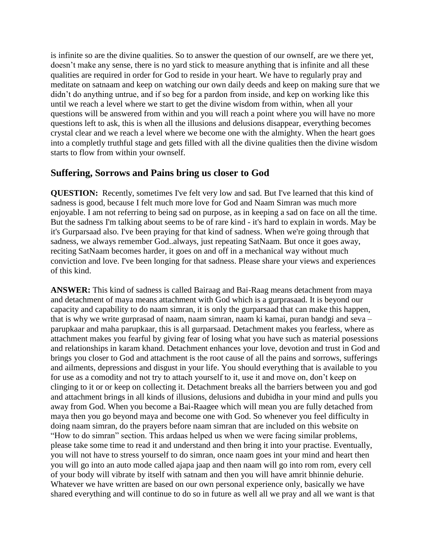is infinite so are the divine qualities. So to answer the question of our ownself, are we there yet, doesn't make any sense, there is no yard stick to measure anything that is infinite and all these qualities are required in order for God to reside in your heart. We have to regularly pray and meditate on satnaam and keep on watching our own daily deeds and keep on making sure that we didn't do anything untrue, and if so beg for a pardon from inside, and kep on working like this until we reach a level where we start to get the divine wisdom from within, when all your questions will be answered from within and you will reach a point where you will have no more questions left to ask, this is when all the illusions and delusions disappear, everything becomes crystal clear and we reach a level where we become one with the almighty. When the heart goes into a completly truthful stage and gets filled with all the divine qualities then the divine wisdom starts to flow from within your ownself.

## <span id="page-7-0"></span>**Suffering, Sorrows and Pains bring us closer to God**

**QUESTION:** Recently, sometimes I've felt very low and sad. But I've learned that this kind of sadness is good, because I felt much more love for God and Naam Simran was much more enjoyable. I am not referring to being sad on purpose, as in keeping a sad on face on all the time. But the sadness I'm talking about seems to be of rare kind - it's hard to explain in words. May be it's Gurparsaad also. I've been praying for that kind of sadness. When we're going through that sadness, we always remember God..always, just repeating SatNaam. But once it goes away, reciting SatNaam becomes harder, it goes on and off in a mechanical way without much conviction and love. I've been longing for that sadness. Please share your views and experiences of this kind.

**ANSWER:** This kind of sadness is called Bairaag and Bai-Raag means detachment from maya and detachment of maya means attachment with God which is a gurprasaad. It is beyond our capacity and capability to do naam simran, it is only the gurparsaad that can make this happen, that is why we write gurprasad of naam, naam simran, naam ki kamai, puran bandgi and seva – parupkaar and maha parupkaar, this is all gurparsaad. Detachment makes you fearless, where as attachment makes you fearful by giving fear of losing what you have such as material posessions and relationships in karam khand. Detachment enhances your love, devotion and trust in God and brings you closer to God and attachment is the root cause of all the pains and sorrows, sufferings and ailments, depressions and disgust in your life. You should everything that is available to you for use as a comodity and not try to attach yourself to it, use it and move on, don't keep on clinging to it or or keep on collecting it. Detachment breaks all the barriers between you and god and attachment brings in all kinds of illusions, delusions and dubidha in your mind and pulls you away from God. When you become a Bai-Raagee which will mean you are fully detached from maya then you go beyond maya and become one with God. So whenever you feel difficulty in doing naam simran, do the prayers before naam simran that are included on this website on "How to do simran" section. This ardaas helped us when we were facing similar problems, please take some time to read it and understand and then bring it into your practise. Eventually, you will not have to stress yourself to do simran, once naam goes int your mind and heart then you will go into an auto mode called ajapa jaap and then naam will go into rom rom, every cell of your body will vibrate by itself with satnam and then you will have amrit bhinnie dehurie. Whatever we have written are based on our own personal experience only, basically we have shared everything and will continue to do so in future as well all we pray and all we want is that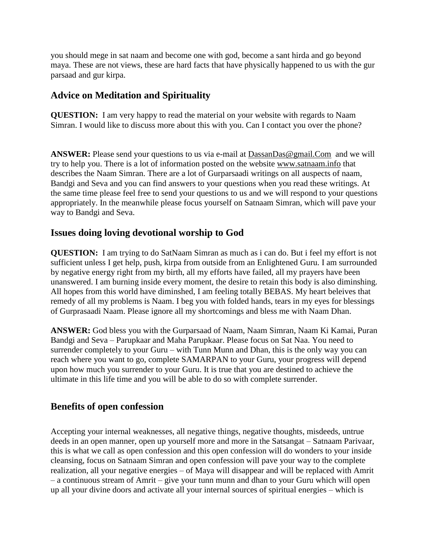you should mege in sat naam and become one with god, become a sant hirda and go beyond maya. These are not views, these are hard facts that have physically happened to us with the gur parsaad and gur kirpa.

## <span id="page-8-0"></span>**Advice on Meditation and Spirituality**

**QUESTION:** I am very happy to read the material on your website with regards to Naam Simran. I would like to discuss more about this with you. Can I contact you over the phone?

**ANSWER:** Please send your questions to us via e-mail at  $DassanDas@gmail.com$  and we will try to help you. There is a lot of information posted on the website [www.satnaam.info](http://www.satnaam.info/) that describes the Naam Simran. There are a lot of Gurparsaadi writings on all auspects of naam, Bandgi and Seva and you can find answers to your questions when you read these writings. At the same time please feel free to send your questions to us and we will respond to your questions appropriately. In the meanwhile please focus yourself on Satnaam Simran, which will pave your way to Bandgi and Seva.

## <span id="page-8-1"></span>**Issues doing loving devotional worship to God**

**QUESTION:** I am trying to do SatNaam Simran as much as i can do. But i feel my effort is not sufficient unless I get help, push, kirpa from outside from an Enlightened Guru. I am surrounded by negative energy right from my birth, all my efforts have failed, all my prayers have been unanswered. I am burning inside every moment, the desire to retain this body is also diminshing. All hopes from this world have diminshed, I am feeling totally BEBAS. My heart beleives that remedy of all my problems is Naam. I beg you with folded hands, tears in my eyes for blessings of Gurprasaadi Naam. Please ignore all my shortcomings and bless me with Naam Dhan.

**ANSWER:** God bless you with the Gurparsaad of Naam, Naam Simran, Naam Ki Kamai, Puran Bandgi and Seva – Parupkaar and Maha Parupkaar. Please focus on Sat Naa. You need to surrender completely to your Guru – with Tunn Munn and Dhan, this is the only way you can reach where you want to go, complete SAMARPAN to your Guru, your progress will depend upon how much you surrender to your Guru. It is true that you are destined to achieve the ultimate in this life time and you will be able to do so with complete surrender.

## <span id="page-8-2"></span>**Benefits of open confession**

Accepting your internal weaknesses, all negative things, negative thoughts, misdeeds, untrue deeds in an open manner, open up yourself more and more in the Satsangat – Satnaam Parivaar, this is what we call as open confession and this open confession will do wonders to your inside cleansing, focus on Satnaam Simran and open confession will pave your way to the complete realization, all your negative energies – of Maya will disappear and will be replaced with Amrit – a continuous stream of Amrit – give your tunn munn and dhan to your Guru which will open up all your divine doors and activate all your internal sources of spiritual energies – which is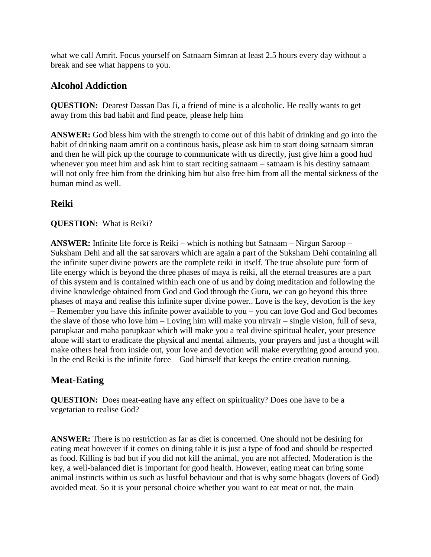what we call Amrit. Focus yourself on Satnaam Simran at least 2.5 hours every day without a break and see what happens to you.

## <span id="page-9-0"></span>**Alcohol Addiction**

**QUESTION:** Dearest Dassan Das Ji, a friend of mine is a alcoholic. He really wants to get away from this bad habit and find peace, please help him

**ANSWER:** God bless him with the strength to come out of this habit of drinking and go into the habit of drinking naam amrit on a continous basis, please ask him to start doing satnaam simran and then he will pick up the courage to communicate with us directly, just give him a good hud whenever you meet him and ask him to start reciting satnaam – satnaam is his destiny satnaam will not only free him from the drinking him but also free him from all the mental sickness of the human mind as well.

## <span id="page-9-1"></span>**Reiki**

#### **QUESTION:** What is Reiki?

**ANSWER:** Infinite life force is Reiki – which is nothing but Satnaam – Nirgun Saroop – Suksham Dehi and all the sat sarovars which are again a part of the Suksham Dehi containing all the infinite super divine powers are the complete reiki in itself. The true absolute pure form of life energy which is beyond the three phases of maya is reiki, all the eternal treasures are a part of this system and is contained within each one of us and by doing meditation and following the divine knowledge obtained from God and God through the Guru, we can go beyond this three phases of maya and realise this infinite super divine power.. Love is the key, devotion is the key – Remember you have this infinite power available to you – you can love God and God becomes the slave of those who love him – Loving him will make you nirvair – single vision, full of seva, parupkaar and maha parupkaar which will make you a real divine spiritual healer, your presence alone will start to eradicate the physical and mental ailments, your prayers and just a thought will make others heal from inside out, your love and devotion will make everything good around you. In the end Reiki is the infinite force – God himself that keeps the entire creation running.

# <span id="page-9-2"></span>**Meat-Eating**

**QUESTION:** Does meat-eating have any effect on spirituality? Does one have to be a vegetarian to realise God?

**ANSWER:** There is no restriction as far as diet is concerned. One should not be desiring for eating meat however if it comes on dining table it is just a type of food and should be respected as food. Killing is bad but if you did not kill the animal, you are not affected. Moderation is the key, a well-balanced diet is important for good health. However, eating meat can bring some animal instincts within us such as lustful behaviour and that is why some bhagats (lovers of God) avoided meat. So it is your personal choice whether you want to eat meat or not, the main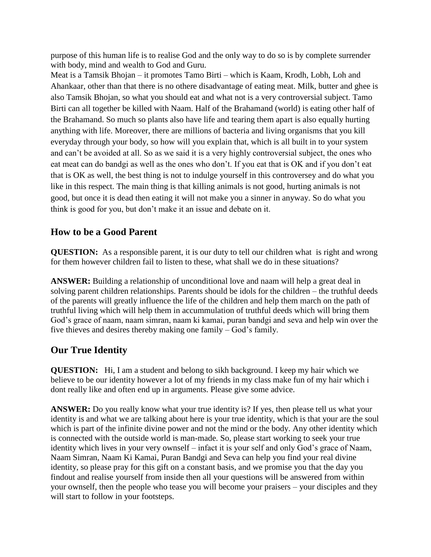purpose of this human life is to realise God and the only way to do so is by complete surrender with body, mind and wealth to God and Guru.

Meat is a Tamsik Bhojan – it promotes Tamo Birti – which is Kaam, Krodh, Lobh, Loh and Ahankaar, other than that there is no othere disadvantage of eating meat. Milk, butter and ghee is also Tamsik Bhojan, so what you should eat and what not is a very controversial subject. Tamo Birti can all together be killed with Naam. Half of the Brahamand (world) is eating other half of the Brahamand. So much so plants also have life and tearing them apart is also equally hurting anything with life. Moreover, there are millions of bacteria and living organisms that you kill everyday through your body, so how will you explain that, which is all built in to your system and can't be avoided at all. So as we said it is a very highly controversial subject, the ones who eat meat can do bandgi as well as the ones who don't. If you eat that is OK and if you don't eat that is OK as well, the best thing is not to indulge yourself in this controversey and do what you like in this respect. The main thing is that killing animals is not good, hurting animals is not good, but once it is dead then eating it will not make you a sinner in anyway. So do what you think is good for you, but don't make it an issue and debate on it.

#### <span id="page-10-0"></span>**How to be a Good Parent**

**QUESTION:** As a responsible parent, it is our duty to tell our children what is right and wrong for them however children fail to listen to these, what shall we do in these situations?

**ANSWER:** Building a relationship of unconditional love and naam will help a great deal in solving parent children relationships. Parents should be idols for the children – the truthful deeds of the parents will greatly influence the life of the children and help them march on the path of truthful living which will help them in accummulation of truthful deeds which will bring them God's grace of naam, naam simran, naam ki kamai, puran bandgi and seva and help win over the five thieves and desires thereby making one family – God's family.

## <span id="page-10-1"></span>**Our True Identity**

**QUESTION:** Hi, I am a student and belong to sikh background. I keep my hair which we believe to be our identity however a lot of my friends in my class make fun of my hair which i dont really like and often end up in arguments. Please give some advice.

**ANSWER:** Do you really know what your true identity is? If yes, then please tell us what your identity is and what we are talking about here is your true identity, which is that your are the soul which is part of the infinite divine power and not the mind or the body. Any other identity which is connected with the outside world is man-made. So, please start working to seek your true identity which lives in your very ownself – infact it is your self and only God's grace of Naam, Naam Simran, Naam Ki Kamai, Puran Bandgi and Seva can help you find your real divine identity, so please pray for this gift on a constant basis, and we promise you that the day you findout and realise yourself from inside then all your questions will be answered from within your ownself, then the people who tease you will become your praisers – your disciples and they will start to follow in your footsteps.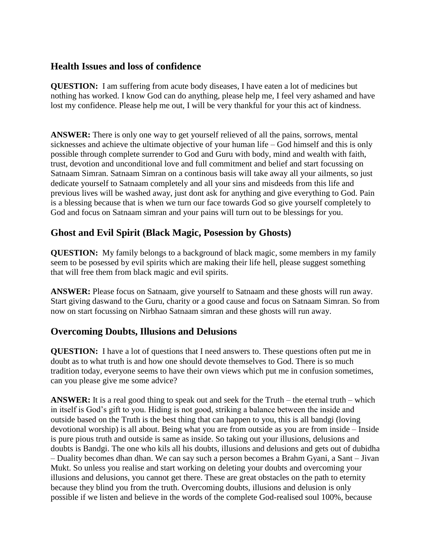## <span id="page-11-0"></span>**Health Issues and loss of confidence**

**QUESTION:** I am suffering from acute body diseases, I have eaten a lot of medicines but nothing has worked. I know God can do anything, please help me, I feel very ashamed and have lost my confidence. Please help me out, I will be very thankful for your this act of kindness.

**ANSWER:** There is only one way to get yourself relieved of all the pains, sorrows, mental sicknesses and achieve the ultimate objective of your human life – God himself and this is only possible through complete surrender to God and Guru with body, mind and wealth with faith, trust, devotion and unconditional love and full commitment and belief and start focussing on Satnaam Simran. Satnaam Simran on a continous basis will take away all your ailments, so just dedicate yourself to Satnaam completely and all your sins and misdeeds from this life and previous lives will be washed away, just dont ask for anything and give everything to God. Pain is a blessing because that is when we turn our face towards God so give yourself completely to God and focus on Satnaam simran and your pains will turn out to be blessings for you.

## <span id="page-11-1"></span>**Ghost and Evil Spirit (Black Magic, Posession by Ghosts)**

**QUESTION:** My family belongs to a background of black magic, some members in my family seem to be posessed by evil spirits which are making their life hell, please suggest something that will free them from black magic and evil spirits.

**ANSWER:** Please focus on Satnaam, give yourself to Satnaam and these ghosts will run away. Start giving daswand to the Guru, charity or a good cause and focus on Satnaam Simran. So from now on start focussing on Nirbhao Satnaam simran and these ghosts will run away.

## <span id="page-11-2"></span>**Overcoming Doubts, Illusions and Delusions**

**QUESTION:** I have a lot of questions that I need answers to. These questions often put me in doubt as to what truth is and how one should devote themselves to God. There is so much tradition today, everyone seems to have their own views which put me in confusion sometimes, can you please give me some advice?

**ANSWER:** It is a real good thing to speak out and seek for the Truth – the eternal truth – which in itself is God's gift to you. Hiding is not good, striking a balance between the inside and outside based on the Truth is the best thing that can happen to you, this is all bandgi (loving devotional worship) is all about. Being what you are from outside as you are from inside – Inside is pure pious truth and outside is same as inside. So taking out your illusions, delusions and doubts is Bandgi. The one who kils all his doubts, illusions and delusions and gets out of dubidha – Duality becomes dhan dhan. We can say such a person becomes a Brahm Gyani, a Sant – Jivan Mukt. So unless you realise and start working on deleting your doubts and overcoming your illusions and delusions, you cannot get there. These are great obstacles on the path to eternity because they blind you from the truth. Overcoming doubts, illusions and delusion is only possible if we listen and believe in the words of the complete God-realised soul 100%, because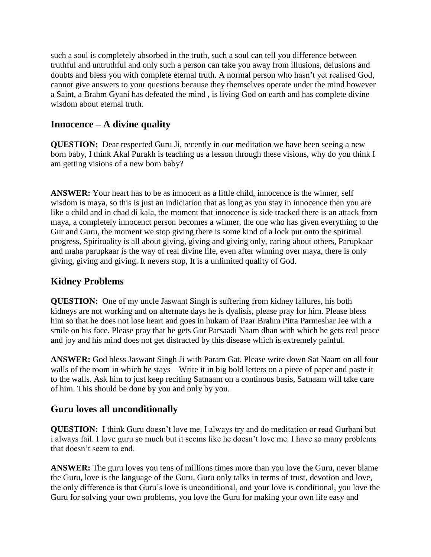such a soul is completely absorbed in the truth, such a soul can tell you difference between truthful and untruthful and only such a person can take you away from illusions, delusions and doubts and bless you with complete eternal truth. A normal person who hasn't yet realised God, cannot give answers to your questions because they themselves operate under the mind however a Saint, a Brahm Gyani has defeated the mind , is living God on earth and has complete divine wisdom about eternal truth.

## <span id="page-12-0"></span>**Innocence – A divine quality**

**QUESTION:** Dear respected Guru Ji, recently in our meditation we have been seeing a new born baby, I think Akal Purakh is teaching us a lesson through these visions, why do you think I am getting visions of a new born baby?

**ANSWER:** Your heart has to be as innocent as a little child, innocence is the winner, self wisdom is maya, so this is just an indiciation that as long as you stay in innocence then you are like a child and in chad di kala, the moment that innocence is side tracked there is an attack from maya, a completely innocenct person becomes a winner, the one who has given everything to the Gur and Guru, the moment we stop giving there is some kind of a lock put onto the spiritual progress, Spirituality is all about giving, giving and giving only, caring about others, Parupkaar and maha parupkaar is the way of real divine life, even after winning over maya, there is only giving, giving and giving. It nevers stop, It is a unlimited quality of God.

# <span id="page-12-1"></span>**Kidney Problems**

**QUESTION:** One of my uncle Jaswant Singh is suffering from kidney failures, his both kidneys are not working and on alternate days he is dyalisis, please pray for him. Please bless him so that he does not lose heart and goes in hukam of Paar Brahm Pitta Parmeshar Jee with a smile on his face. Please pray that he gets Gur Parsaadi Naam dhan with which he gets real peace and joy and his mind does not get distracted by this disease which is extremely painful.

**ANSWER:** God bless Jaswant Singh Ji with Param Gat. Please write down Sat Naam on all four walls of the room in which he stays – Write it in big bold letters on a piece of paper and paste it to the walls. Ask him to just keep reciting Satnaam on a continous basis, Satnaam will take care of him. This should be done by you and only by you.

# <span id="page-12-2"></span>**Guru loves all unconditionally**

**QUESTION:** I think Guru doesn't love me. I always try and do meditation or read Gurbani but i always fail. I love guru so much but it seems like he doesn't love me. I have so many problems that doesn't seem to end.

**ANSWER:** The guru loves you tens of millions times more than you love the Guru, never blame the Guru, love is the language of the Guru, Guru only talks in terms of trust, devotion and love, the only difference is that Guru's love is unconditional, and your love is conditional, you love the Guru for solving your own problems, you love the Guru for making your own life easy and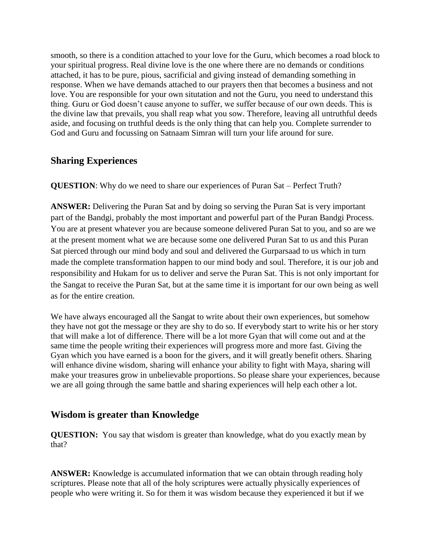smooth, so there is a condition attached to your love for the Guru, which becomes a road block to your spiritual progress. Real divine love is the one where there are no demands or conditions attached, it has to be pure, pious, sacrificial and giving instead of demanding something in response. When we have demands attached to our prayers then that becomes a business and not love. You are responsible for your own situtation and not the Guru, you need to understand this thing. Guru or God doesn't cause anyone to suffer, we suffer because of our own deeds. This is the divine law that prevails, you shall reap what you sow. Therefore, leaving all untruthful deeds aside, and focusing on truthful deeds is the only thing that can help you. Complete surrender to God and Guru and focussing on Satnaam Simran will turn your life around for sure.

## <span id="page-13-0"></span>**Sharing Experiences**

**QUESTION**: Why do we need to share our experiences of Puran Sat – Perfect Truth?

**ANSWER:** Delivering the Puran Sat and by doing so serving the Puran Sat is very important part of the Bandgi, probably the most important and powerful part of the Puran Bandgi Process. You are at present whatever you are because someone delivered Puran Sat to you, and so are we at the present moment what we are because some one delivered Puran Sat to us and this Puran Sat pierced through our mind body and soul and delivered the Gurparsaad to us which in turn made the complete transformation happen to our mind body and soul. Therefore, it is our job and responsibility and Hukam for us to deliver and serve the Puran Sat. This is not only important for the Sangat to receive the Puran Sat, but at the same time it is important for our own being as well as for the entire creation.

We have always encouraged all the Sangat to write about their own experiences, but somehow they have not got the message or they are shy to do so. If everybody start to write his or her story that will make a lot of difference. There will be a lot more Gyan that will come out and at the same time the people writing their experiences will progress more and more fast. Giving the Gyan which you have earned is a boon for the givers, and it will greatly benefit others. Sharing will enhance divine wisdom, sharing will enhance your ability to fight with Maya, sharing will make your treasures grow in unbelievable proportions. So please share your experiences, because we are all going through the same battle and sharing experiences will help each other a lot.

## <span id="page-13-1"></span>**Wisdom is greater than Knowledge**

**QUESTION:** You say that wisdom is greater than knowledge, what do you exactly mean by that?

**ANSWER:** Knowledge is accumulated information that we can obtain through reading holy scriptures. Please note that all of the holy scriptures were actually physically experiences of people who were writing it. So for them it was wisdom because they experienced it but if we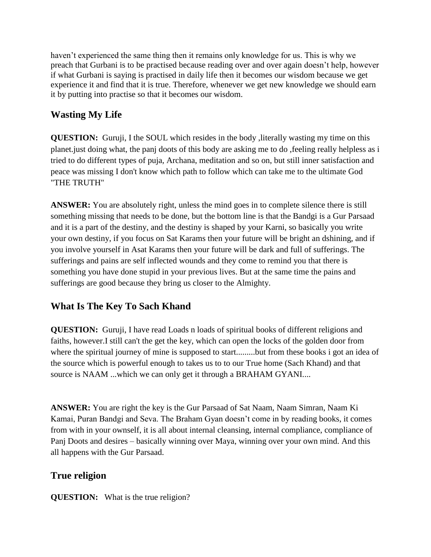haven't experienced the same thing then it remains only knowledge for us. This is why we preach that Gurbani is to be practised because reading over and over again doesn't help, however if what Gurbani is saying is practised in daily life then it becomes our wisdom because we get experience it and find that it is true. Therefore, whenever we get new knowledge we should earn it by putting into practise so that it becomes our wisdom.

# <span id="page-14-0"></span>**Wasting My Life**

**QUESTION:** Guruji, I the SOUL which resides in the body , literally wasting my time on this planet.just doing what, the panj doots of this body are asking me to do ,feeling really helpless as i tried to do different types of puja, Archana, meditation and so on, but still inner satisfaction and peace was missing I don't know which path to follow which can take me to the ultimate God "THE TRUTH"

**ANSWER:** You are absolutely right, unless the mind goes in to complete silence there is still something missing that needs to be done, but the bottom line is that the Bandgi is a Gur Parsaad and it is a part of the destiny, and the destiny is shaped by your Karni, so basically you write your own destiny, if you focus on Sat Karams then your future will be bright an dshining, and if you involve yourself in Asat Karams then your future will be dark and full of sufferings. The sufferings and pains are self inflected wounds and they come to remind you that there is something you have done stupid in your previous lives. But at the same time the pains and sufferings are good because they bring us closer to the Almighty.

# **What Is The Key To Sach Khand**

**QUESTION:** Guruji, I have read Loads n loads of spiritual books of different religions and faiths, however.I still can't the get the key, which can open the locks of the golden door from where the spiritual journey of mine is supposed to start.........but from these books i got an idea of the source which is powerful enough to takes us to to our True home (Sach Khand) and that source is NAAM ...which we can only get it through a BRAHAM GYANI....

**ANSWER:** You are right the key is the Gur Parsaad of Sat Naam, Naam Simran, Naam Ki Kamai, Puran Bandgi and Seva. The Braham Gyan doesn't come in by reading books, it comes from with in your ownself, it is all about internal cleansing, internal compliance, compliance of Panj Doots and desires – basically winning over Maya, winning over your own mind. And this all happens with the Gur Parsaad.

# **True religion**

**QUESTION:** What is the true religion?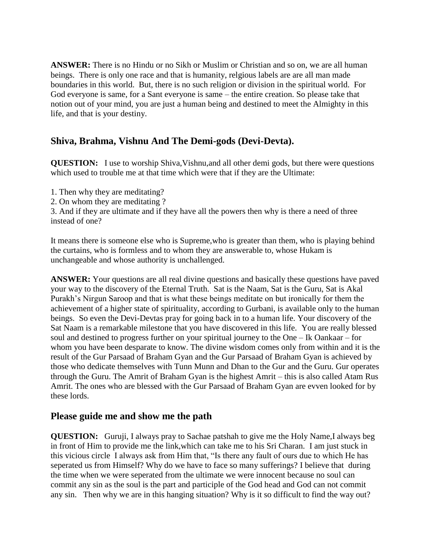**ANSWER:** There is no Hindu or no Sikh or Muslim or Christian and so on, we are all human beings. There is only one race and that is humanity, relgious labels are are all man made boundaries in this world. But, there is no such religion or division in the spiritual world. For God everyone is same, for a Sant everyone is same – the entire creation. So please take that notion out of your mind, you are just a human being and destined to meet the Almighty in this life, and that is your destiny.

#### <span id="page-15-0"></span>**Shiva, Brahma, Vishnu And The Demi-gods (Devi-Devta).**

**QUESTION:** I use to worship Shiva, Vishnu, and all other demi gods, but there were questions which used to trouble me at that time which were that if they are the Ultimate:

1. Then why they are meditating?

2. On whom they are meditating ?

3. And if they are ultimate and if they have all the powers then why is there a need of three instead of one?

It means there is someone else who is Supreme,who is greater than them, who is playing behind the curtains, who is formless and to whom they are answerable to, whose Hukam is unchangeable and whose authority is unchallenged.

**ANSWER:** Your questions are all real divine questions and basically these questions have paved your way to the discovery of the Eternal Truth. Sat is the Naam, Sat is the Guru, Sat is Akal Purakh's Nirgun Saroop and that is what these beings meditate on but ironically for them the achievement of a higher state of spirituality, according to Gurbani, is available only to the human beings. So even the Devi-Devtas pray for going back in to a human life. Your discovery of the Sat Naam is a remarkable milestone that you have discovered in this life. You are really blessed soul and destined to progress further on your spiritual journey to the One – Ik Oankaar – for whom you have been desparate to know. The divine wisdom comes only from within and it is the result of the Gur Parsaad of Braham Gyan and the Gur Parsaad of Braham Gyan is achieved by those who dedicate themselves with Tunn Munn and Dhan to the Gur and the Guru. Gur operates through the Guru. The Amrit of Braham Gyan is the highest Amrit – this is also called Atam Rus Amrit. The ones who are blessed with the Gur Parsaad of Braham Gyan are evven looked for by these lords.

#### <span id="page-15-1"></span>**Please guide me and show me the path**

**QUESTION:** Guruji, I always pray to Sachae patshah to give me the Holy Name,I always beg in front of Him to provide me the link,which can take me to his Sri Charan. I am just stuck in this vicious circle I always ask from Him that, "Is there any fault of ours due to which He has seperated us from Himself? Why do we have to face so many sufferings? I believe that during the time when we were seperated from the ultimate we were innocent because no soul can commit any sin as the soul is the part and participle of the God head and God can not commit any sin. Then why we are in this hanging situation? Why is it so difficult to find the way out?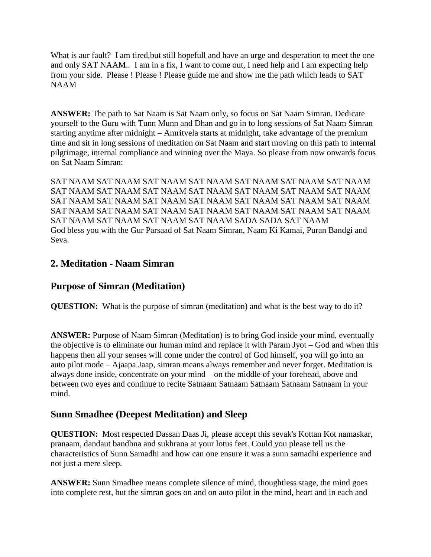What is aur fault? I am tired, but still hopefull and have an urge and desperation to meet the one and only SAT NAAM.. I am in a fix, I want to come out, I need help and I am expecting help from your side. Please ! Please ! Please guide me and show me the path which leads to SAT NAAM

**ANSWER:** The path to Sat Naam is Sat Naam only, so focus on Sat Naam Simran. Dedicate yourself to the Guru with Tunn Munn and Dhan and go in to long sessions of Sat Naam Simran starting anytime after midnight – Amritvela starts at midnight, take advantage of the premium time and sit in long sessions of meditation on Sat Naam and start moving on this path to internal pilgrimage, internal compliance and winning over the Maya. So please from now onwards focus on Sat Naam Simran:

SAT NAAM SAT NAAM SAT NAAM SAT NAAM SAT NAAM SAT NAAM SAT NAAM SAT NAAM SAT NAAM SAT NAAM SAT NAAM SAT NAAM SAT NAAM SAT NAAM SAT NAAM SAT NAAM SAT NAAM SAT NAAM SAT NAAM SAT NAAM SAT NAAM SAT NAAM SAT NAAM SAT NAAM SAT NAAM SAT NAAM SAT NAAM SAT NAAM SAT NAAM SAT NAAM SAT NAAM SAT NAAM SADA SADA SAT NAAM God bless you with the Gur Parsaad of Sat Naam Simran, Naam Ki Kamai, Puran Bandgi and Seva.

## <span id="page-16-0"></span>**2. Meditation - Naam Simran**

#### <span id="page-16-1"></span>**Purpose of Simran (Meditation)**

**QUESTION:** What is the purpose of simran (meditation) and what is the best way to do it?

**ANSWER:** Purpose of Naam Simran (Meditation) is to bring God inside your mind, eventually the objective is to eliminate our human mind and replace it with Param Jyot – God and when this happens then all your senses will come under the control of God himself, you will go into an auto pilot mode – Ajaapa Jaap, simran means always remember and never forget. Meditation is always done inside, concentrate on your mind – on the middle of your forehead, above and between two eyes and continue to recite Satnaam Satnaam Satnaam Satnaam Satnaam in your mind.

#### <span id="page-16-2"></span>**Sunn Smadhee (Deepest Meditation) and Sleep**

**QUESTION:** Most respected Dassan Daas Ji, please accept this sevak's Kottan Kot namaskar, pranaam, dandaut bandhna and sukhrana at your lotus feet. Could you please tell us the characteristics of Sunn Samadhi and how can one ensure it was a sunn samadhi experience and not just a mere sleep.

**ANSWER:** Sunn Smadhee means complete silence of mind, thoughtless stage, the mind goes into complete rest, but the simran goes on and on auto pilot in the mind, heart and in each and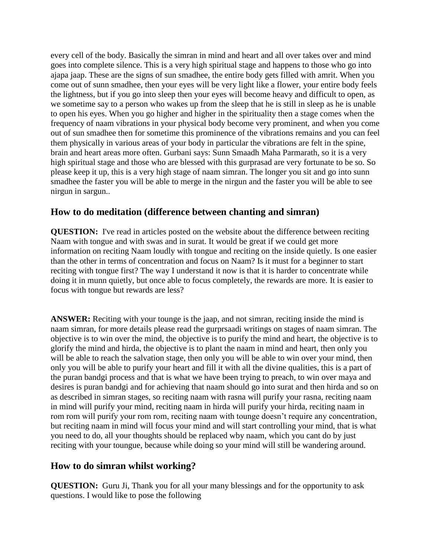every cell of the body. Basically the simran in mind and heart and all over takes over and mind goes into complete silence. This is a very high spiritual stage and happens to those who go into ajapa jaap. These are the signs of sun smadhee, the entire body gets filled with amrit. When you come out of sunn smadhee, then your eyes will be very light like a flower, your entire body feels the lightness, but if you go into sleep then your eyes will become heavy and difficult to open, as we sometime say to a person who wakes up from the sleep that he is still in sleep as he is unable to open his eyes. When you go higher and higher in the spirituality then a stage comes when the frequency of naam vibrations in your physical body become very prominent, and when you come out of sun smadhee then for sometime this prominence of the vibrations remains and you can feel them physically in various areas of your body in particular the vibrations are felt in the spine, brain and heart areas more often. Gurbani says: Sunn Smaadh Maha Parmarath, so it is a very high spiritual stage and those who are blessed with this gurprasad are very fortunate to be so. So please keep it up, this is a very high stage of naam simran. The longer you sit and go into sunn smadhee the faster you will be able to merge in the nirgun and the faster you will be able to see nirgun in sargun..

## <span id="page-17-0"></span>**How to do meditation (difference between chanting and simran)**

**QUESTION:** I've read in articles posted on the website about the difference between reciting Naam with tongue and with swas and in surat. It would be great if we could get more information on reciting Naam loudly with tongue and reciting on the inside quietly. Is one easier than the other in terms of concentration and focus on Naam? Is it must for a beginner to start reciting with tongue first? The way I understand it now is that it is harder to concentrate while doing it in munn quietly, but once able to focus completely, the rewards are more. It is easier to focus with tongue but rewards are less?

**ANSWER:** Reciting with your tounge is the jaap, and not simran, reciting inside the mind is naam simran, for more details please read the gurprsaadi writings on stages of naam simran. The objective is to win over the mind, the objective is to purify the mind and heart, the objective is to glorify the mind and hirda, the objective is to plant the naam in mind and heart, then only you will be able to reach the salvation stage, then only you will be able to win over your mind, then only you will be able to purify your heart and fill it with all the divine qualities, this is a part of the puran bandgi process and that is what we have been trying to preach, to win over maya and desires is puran bandgi and for achieving that naam should go into surat and then hirda and so on as described in simran stages, so reciting naam with rasna will purify your rasna, reciting naam in mind will purify your mind, reciting naam in hirda will purify your hirda, reciting naam in rom rom will purify your rom rom, reciting naam with tounge doesn't require any concentration, but reciting naam in mind will focus your mind and will start controlling your mind, that is what you need to do, all your thoughts should be replaced wby naam, which you cant do by just reciting with your toungue, because while doing so your mind will still be wandering around.

## <span id="page-17-1"></span>**How to do simran whilst working?**

**QUESTION:** Guru Ji, Thank you for all your many blessings and for the opportunity to ask questions. I would like to pose the following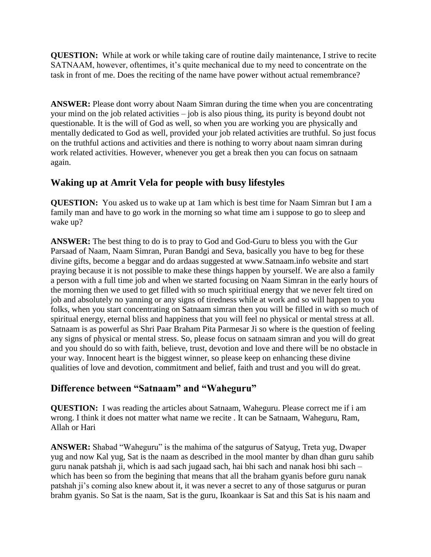**QUESTION:** While at work or while taking care of routine daily maintenance, I strive to recite SATNAAM, however, oftentimes, it's quite mechanical due to my need to concentrate on the task in front of me. Does the reciting of the name have power without actual remembrance?

**ANSWER:** Please dont worry about Naam Simran during the time when you are concentrating your mind on the job related activities – job is also pious thing, its purity is beyond doubt not questionable. It is the will of God as well, so when you are working you are physically and mentally dedicated to God as well, provided your job related activities are truthful. So just focus on the truthful actions and activities and there is nothing to worry about naam simran during work related activities. However, whenever you get a break then you can focus on satnaam again.

# <span id="page-18-0"></span>**Waking up at Amrit Vela for people with busy lifestyles**

**QUESTION:** You asked us to wake up at 1am which is best time for Naam Simran but I am a family man and have to go work in the morning so what time am i suppose to go to sleep and wake up?

**ANSWER:** The best thing to do is to pray to God and God-Guru to bless you with the Gur Parsaad of Naam, Naam Simran, Puran Bandgi and Seva, basically you have to beg for these divine gifts, become a beggar and do ardaas suggested at www.Satnaam.info website and start praying because it is not possible to make these things happen by yourself. We are also a family a person with a full time job and when we started focusing on Naam Simran in the early hours of the morning then we used to get filled with so much spiritiual energy that we never felt tired on job and absolutely no yanning or any signs of tiredness while at work and so will happen to you folks, when you start concentrating on Satnaam simran then you will be filled in with so much of spiritual energy, eternal bliss and happiness that you will feel no physical or mental stress at all. Satnaam is as powerful as Shri Paar Braham Pita Parmesar Ji so where is the question of feeling any signs of physical or mental stress. So, please focus on satnaam simran and you will do great and you should do so with faith, believe, trust, devotion and love and there will be no obstacle in your way. Innocent heart is the biggest winner, so please keep on enhancing these divine qualities of love and devotion, commitment and belief, faith and trust and you will do great.

# <span id="page-18-1"></span>**Difference between "Satnaam" and "Waheguru"**

**QUESTION:** I was reading the articles about Satnaam, Waheguru. Please correct me if i am wrong. I think it does not matter what name we recite . It can be Satnaam, Waheguru, Ram, Allah or Hari

**ANSWER:** Shabad "Waheguru" is the mahima of the satgurus of Satyug, Treta yug, Dwaper yug and now Kal yug, Sat is the naam as described in the mool manter by dhan dhan guru sahib guru nanak patshah ji, which is aad sach jugaad sach, hai bhi sach and nanak hosi bhi sach – which has been so from the begining that means that all the braham gyanis before guru nanak patshah ji's coming also knew about it, it was never a secret to any of those satgurus or puran brahm gyanis. So Sat is the naam, Sat is the guru, Ikoankaar is Sat and this Sat is his naam and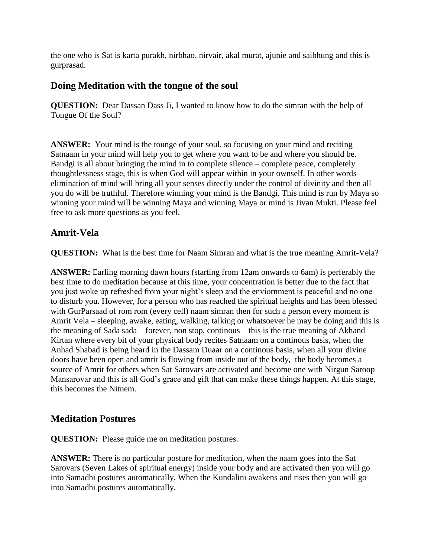the one who is Sat is karta purakh, nirbhao, nirvair, akal murat, ajunie and saibhung and this is gurprasad.

#### <span id="page-19-0"></span>**Doing Meditation with the tongue of the soul**

**QUESTION:** Dear Dassan Dass Ji, I wanted to know how to do the simran with the help of Tongue Of the Soul?

**ANSWER:** Your mind is the tounge of your soul, so focusing on your mind and reciting Satnaam in your mind will help you to get where you want to be and where you should be. Bandgi is all about bringing the mind in to complete silence – complete peace, completely thoughtlessness stage, this is when God will appear within in your ownself. In other words elimination of mind will bring all your senses directly under the control of divinity and then all you do will be truthful. Therefore winning your mind is the Bandgi. This mind is run by Maya so winning your mind will be winning Maya and winning Maya or mind is Jivan Mukti. Please feel free to ask more questions as you feel.

#### <span id="page-19-1"></span>**Amrit-Vela**

**QUESTION:** What is the best time for Naam Simran and what is the true meaning Amrit-Vela?

**ANSWER:** Earling morning dawn hours (starting from 12am onwards to 6am) is perferably the best time to do meditation because at this time, your concentration is better due to the fact that you just woke up refreshed from your night's sleep and the enviornment is peaceful and no one to disturb you. However, for a person who has reached the spiritual heights and has been blessed with GurParsaad of rom rom (every cell) naam simran then for such a person every moment is Amrit Vela – sleeping, awake, eating, walking, talking or whatsoever he may be doing and this is the meaning of Sada sada – forever, non stop, continous – this is the true meaning of Akhand Kirtan where every bit of your physical body recites Satnaam on a continous basis, when the Anhad Shabad is being heard in the Dassam Duaar on a continous basis, when all your divine doors have been open and amrit is flowing from inside out of the body, the body becomes a source of Amrit for others when Sat Sarovars are activated and become one with Nirgun Saroop Mansarovar and this is all God's grace and gift that can make these things happen. At this stage, this becomes the Nitnem.

#### **Meditation Postures**

**QUESTION:** Please guide me on meditation postures.

**ANSWER:** There is no particular posture for meditation, when the naam goes into the Sat Sarovars (Seven Lakes of spiritual energy) inside your body and are activated then you will go into Samadhi postures automatically. When the Kundalini awakens and rises then you will go into Samadhi postures automatically.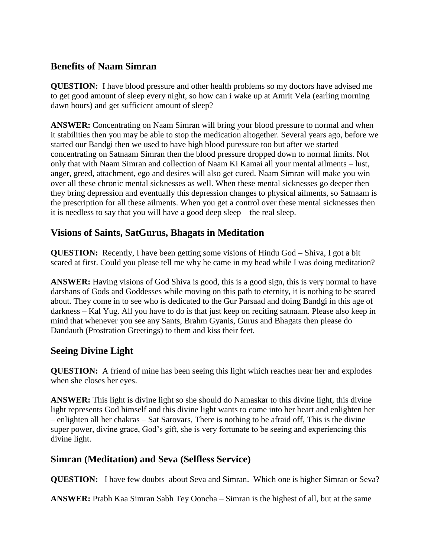## **Benefits of Naam Simran**

**QUESTION:** I have blood pressure and other health problems so my doctors have advised me to get good amount of sleep every night, so how can i wake up at Amrit Vela (earling morning dawn hours) and get sufficient amount of sleep?

**ANSWER:** Concentrating on Naam Simran will bring your blood pressure to normal and when it stabilities then you may be able to stop the medication altogether. Several years ago, before we started our Bandgi then we used to have high blood puressure too but after we started concentrating on Satnaam Simran then the blood pressure dropped down to normal limits. Not only that with Naam Simran and collection of Naam Ki Kamai all your mental ailments – lust, anger, greed, attachment, ego and desires will also get cured. Naam Simran will make you win over all these chronic mental sicknesses as well. When these mental sicknesses go deeper then they bring depression and eventually this depression changes to physical ailments, so Satnaam is the prescription for all these ailments. When you get a control over these mental sicknesses then it is needless to say that you will have a good deep sleep – the real sleep.

## <span id="page-20-0"></span>**Visions of Saints, SatGurus, Bhagats in Meditation**

**QUESTION:** Recently, I have been getting some visions of Hindu God – Shiva, I got a bit scared at first. Could you please tell me why he came in my head while I was doing meditation?

**ANSWER:** Having visions of God Shiva is good, this is a good sign, this is very normal to have darshans of Gods and Goddesses while moving on this path to eternity, it is nothing to be scared about. They come in to see who is dedicated to the Gur Parsaad and doing Bandgi in this age of darkness – Kal Yug. All you have to do is that just keep on reciting satnaam. Please also keep in mind that whenever you see any Sants, Brahm Gyanis, Gurus and Bhagats then please do Dandauth (Prostration Greetings) to them and kiss their feet.

## <span id="page-20-1"></span>**Seeing Divine Light**

**QUESTION:** A friend of mine has been seeing this light which reaches near her and explodes when she closes her eyes.

**ANSWER:** This light is divine light so she should do Namaskar to this divine light, this divine light represents God himself and this divine light wants to come into her heart and enlighten her – enlighten all her chakras – Sat Sarovars, There is nothing to be afraid off, This is the divine super power, divine grace, God's gift, she is very fortunate to be seeing and experiencing this divine light.

## <span id="page-20-2"></span>**Simran (Meditation) and Seva (Selfless Service)**

**QUESTION:** I have few doubts about Seva and Simran. Which one is higher Simran or Seva?

**ANSWER:** Prabh Kaa Simran Sabh Tey Ooncha – Simran is the highest of all, but at the same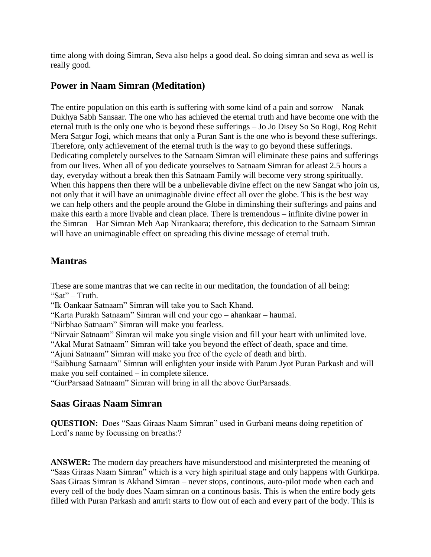time along with doing Simran, Seva also helps a good deal. So doing simran and seva as well is really good.

#### <span id="page-21-0"></span>**Power in Naam Simran (Meditation)**

The entire population on this earth is suffering with some kind of a pain and sorrow – Nanak Dukhya Sabh Sansaar. The one who has achieved the eternal truth and have become one with the eternal truth is the only one who is beyond these sufferings – Jo Jo Disey So So Rogi, Rog Rehit Mera Satgur Jogi, which means that only a Puran Sant is the one who is beyond these sufferings. Therefore, only achievement of the eternal truth is the way to go beyond these sufferings. Dedicating completely ourselves to the Satnaam Simran will eliminate these pains and sufferings from our lives. When all of you dedicate yourselves to Satnaam Simran for atleast 2.5 hours a day, everyday without a break then this Satnaam Family will become very strong spiritually. When this happens then there will be a unbelievable divine effect on the new Sangat who join us, not only that it will have an unimaginable divine effect all over the globe. This is the best way we can help others and the people around the Globe in diminshing their sufferings and pains and make this earth a more livable and clean place. There is tremendous – infinite divine power in the Simran – Har Simran Meh Aap Nirankaara; therefore, this dedication to the Satnaam Simran will have an unimaginable effect on spreading this divine message of eternal truth.

## <span id="page-21-1"></span>**Mantras**

These are some mantras that we can recite in our meditation, the foundation of all being: "Sat" – Truth.

"Ik Oankaar Satnaam" Simran will take you to Sach Khand.

"Karta Purakh Satnaam" Simran will end your ego – ahankaar – haumai.

"Nirbhao Satnaam" Simran will make you fearless.

"Nirvair Satnaam" Simran wil make you single vision and fill your heart with unlimited love.

"Akal Murat Satnaam" Simran will take you beyond the effect of death, space and time.

"Ajuni Satnaam" Simran will make you free of the cycle of death and birth.

"Saibhung Satnaam" Simran will enlighten your inside with Param Jyot Puran Parkash and will make you self contained – in complete silence.

"GurParsaad Satnaam" Simran will bring in all the above GurParsaads.

## <span id="page-21-2"></span>**Saas Giraas Naam Simran**

**QUESTION:** Does "Saas Giraas Naam Simran" used in Gurbani means doing repetition of Lord's name by focussing on breaths:?

**ANSWER:** The modern day preachers have misunderstood and misinterpreted the meaning of "Saas Giraas Naam Simran" which is a very high spiritual stage and only happens with Gurkirpa. Saas Giraas Simran is Akhand Simran – never stops, continous, auto-pilot mode when each and every cell of the body does Naam simran on a continous basis. This is when the entire body gets filled with Puran Parkash and amrit starts to flow out of each and every part of the body. This is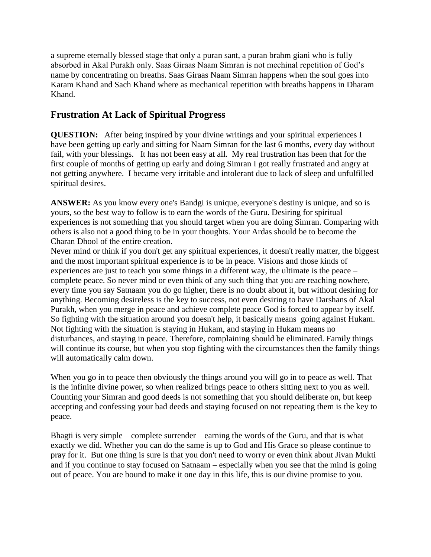a supreme eternally blessed stage that only a puran sant, a puran brahm giani who is fully absorbed in Akal Purakh only. Saas Giraas Naam Simran is not mechinal repetition of God's name by concentrating on breaths. Saas Giraas Naam Simran happens when the soul goes into Karam Khand and Sach Khand where as mechanical repetition with breaths happens in Dharam Khand.

## <span id="page-22-0"></span>**Frustration At Lack of Spiritual Progress**

**QUESTION:** After being inspired by your divine writings and your spiritual experiences I have been getting up early and sitting for Naam Simran for the last 6 months, every day without fail, with your blessings. It has not been easy at all. My real frustration has been that for the first couple of months of getting up early and doing Simran I got really frustrated and angry at not getting anywhere. I became very irritable and intolerant due to lack of sleep and unfulfilled spiritual desires.

**ANSWER:** As you know every one's Bandgi is unique, everyone's destiny is unique, and so is yours, so the best way to follow is to earn the words of the Guru. Desiring for spiritual experiences is not something that you should target when you are doing Simran. Comparing with others is also not a good thing to be in your thoughts. Your Ardas should be to become the Charan Dhool of the entire creation.

Never mind or think if you don't get any spiritual experiences, it doesn't really matter, the biggest and the most important spiritual experience is to be in peace. Visions and those kinds of experiences are just to teach you some things in a different way, the ultimate is the peace – complete peace. So never mind or even think of any such thing that you are reaching nowhere, every time you say Satnaam you do go higher, there is no doubt about it, but without desiring for anything. Becoming desireless is the key to success, not even desiring to have Darshans of Akal Purakh, when you merge in peace and achieve complete peace God is forced to appear by itself. So fighting with the situation around you doesn't help, it basically means going against Hukam. Not fighting with the situation is staying in Hukam, and staying in Hukam means no disturbances, and staying in peace. Therefore, complaining should be eliminated. Family things will continue its course, but when you stop fighting with the circumstances then the family things will automatically calm down.

When you go in to peace then obviously the things around you will go in to peace as well. That is the infinite divine power, so when realized brings peace to others sitting next to you as well. Counting your Simran and good deeds is not something that you should deliberate on, but keep accepting and confessing your bad deeds and staying focused on not repeating them is the key to peace.

Bhagti is very simple – complete surrender – earning the words of the Guru, and that is what exactly we did. Whether you can do the same is up to God and His Grace so please continue to pray for it. But one thing is sure is that you don't need to worry or even think about Jivan Mukti and if you continue to stay focused on Satnaam – especially when you see that the mind is going out of peace. You are bound to make it one day in this life, this is our divine promise to you.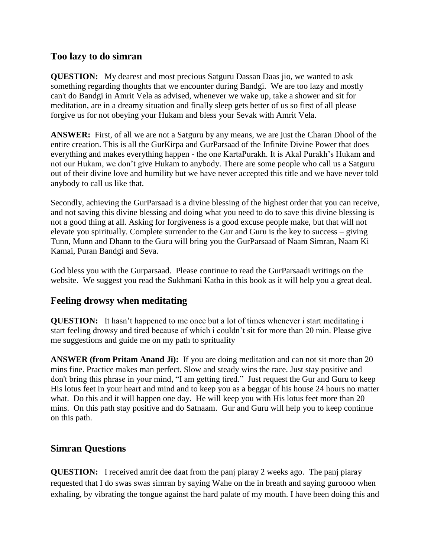#### <span id="page-23-0"></span>**Too lazy to do simran**

**QUESTION:** My dearest and most precious Satguru Dassan Daas jio, we wanted to ask something regarding thoughts that we encounter during Bandgi. We are too lazy and mostly can't do Bandgi in Amrit Vela as advised, whenever we wake up, take a shower and sit for meditation, are in a dreamy situation and finally sleep gets better of us so first of all please forgive us for not obeying your Hukam and bless your Sevak with Amrit Vela.

**ANSWER:** First, of all we are not a Satguru by any means, we are just the Charan Dhool of the entire creation. This is all the GurKirpa and GurParsaad of the Infinite Divine Power that does everything and makes everything happen - the one KartaPurakh. It is Akal Purakh's Hukam and not our Hukam, we don't give Hukam to anybody. There are some people who call us a Satguru out of their divine love and humility but we have never accepted this title and we have never told anybody to call us like that.

Secondly, achieving the GurParsaad is a divine blessing of the highest order that you can receive, and not saving this divine blessing and doing what you need to do to save this divine blessing is not a good thing at all. Asking for forgiveness is a good excuse people make, but that will not elevate you spiritually. Complete surrender to the Gur and Guru is the key to success – giving Tunn, Munn and Dhann to the Guru will bring you the GurParsaad of Naam Simran, Naam Ki Kamai, Puran Bandgi and Seva.

God bless you with the Gurparsaad. Please continue to read the GurParsaadi writings on the website. We suggest you read the Sukhmani Katha in this book as it will help you a great deal.

#### <span id="page-23-1"></span>**Feeling drowsy when meditating**

**QUESTION:** It hasn't happened to me once but a lot of times whenever i start meditating i start feeling drowsy and tired because of which i couldn't sit for more than 20 min. Please give me suggestions and guide me on my path to sprituality

**ANSWER (from Pritam Anand Ji):** If you are doing meditation and can not sit more than 20 mins fine. Practice makes man perfect. Slow and steady wins the race. Just stay positive and don't bring this phrase in your mind, "I am getting tired." Just request the Gur and Guru to keep His lotus feet in your heart and mind and to keep you as a beggar of his house 24 hours no matter what. Do this and it will happen one day. He will keep you with His lotus feet more than 20 mins. On this path stay positive and do Satnaam. Gur and Guru will help you to keep continue on this path.

#### <span id="page-23-2"></span>**Simran Questions**

**QUESTION:** I received amrit dee daat from the panj piaray 2 weeks ago. The panj piaray requested that I do swas swas simran by saying Wahe on the in breath and saying guroooo when exhaling, by vibrating the tongue against the hard palate of my mouth. I have been doing this and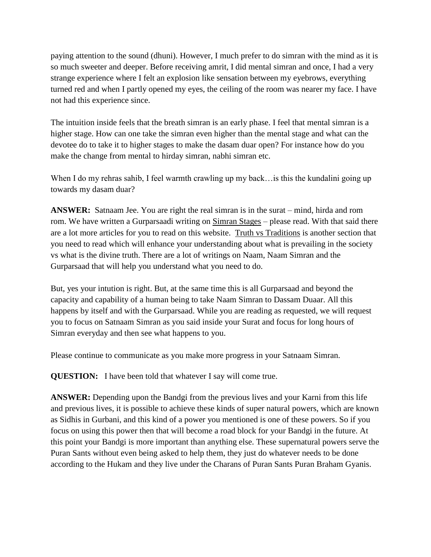paying attention to the sound (dhuni). However, I much prefer to do simran with the mind as it is so much sweeter and deeper. Before receiving amrit, I did mental simran and once, I had a very strange experience where I felt an explosion like sensation between my eyebrows, everything turned red and when I partly opened my eyes, the ceiling of the room was nearer my face. I have not had this experience since.

The intuition inside feels that the breath simran is an early phase. I feel that mental simran is a higher stage. How can one take the simran even higher than the mental stage and what can the devotee do to take it to higher stages to make the dasam duar open? For instance how do you make the change from mental to hirday simran, nabhi simran etc.

When I do my rehras sahib, I feel warmth crawling up my back... is this the kundalini going up towards my dasam duar?

**ANSWER:** Satnaam Jee. You are right the real simran is in the surat – mind, hirda and rom rom. We have written a Gurparsaadi writing on [Simran Stages](http://www.satnaam.info/index.php?option=com_content&task=view&id=58&Itemid=14) – please read. With that said there are a lot more articles for you to read on this website. [Truth vs Traditions](http://www.satnaam.info/index.php?option=com_content&task=category§ionid=2&id=19&Itemid=26) is another section that you need to read which will enhance your understanding about what is prevailing in the society vs what is the divine truth. There are a lot of writings on Naam, Naam Simran and the Gurparsaad that will help you understand what you need to do.

But, yes your intution is right. But, at the same time this is all Gurparsaad and beyond the capacity and capability of a human being to take Naam Simran to Dassam Duaar. All this happens by itself and with the Gurparsaad. While you are reading as requested, we will request you to focus on Satnaam Simran as you said inside your Surat and focus for long hours of Simran everyday and then see what happens to you.

Please continue to communicate as you make more progress in your Satnaam Simran.

**QUESTION:** I have been told that whatever I say will come true.

**ANSWER:** Depending upon the Bandgi from the previous lives and your Karni from this life and previous lives, it is possible to achieve these kinds of super natural powers, which are known as Sidhis in Gurbani, and this kind of a power you mentioned is one of these powers. So if you focus on using this power then that will become a road block for your Bandgi in the future. At this point your Bandgi is more important than anything else. These supernatural powers serve the Puran Sants without even being asked to help them, they just do whatever needs to be done according to the Hukam and they live under the Charans of Puran Sants Puran Braham Gyanis.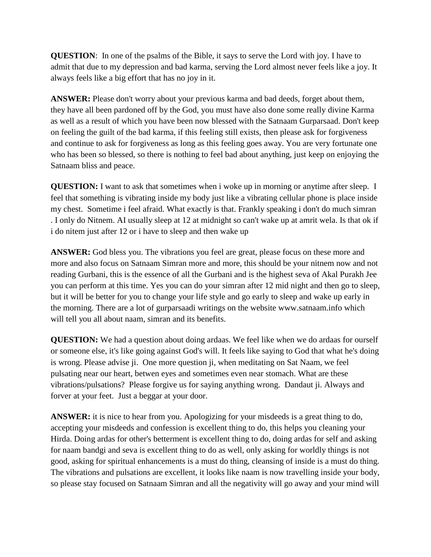**QUESTION**: In one of the psalms of the Bible, it says to serve the Lord with joy. I have to admit that due to my depression and bad karma, serving the Lord almost never feels like a joy. It always feels like a big effort that has no joy in it.

**ANSWER:** Please don't worry about your previous karma and bad deeds, forget about them, they have all been pardoned off by the God, you must have also done some really divine Karma as well as a result of which you have been now blessed with the Satnaam Gurparsaad. Don't keep on feeling the guilt of the bad karma, if this feeling still exists, then please ask for forgiveness and continue to ask for forgiveness as long as this feeling goes away. You are very fortunate one who has been so blessed, so there is nothing to feel bad about anything, just keep on enjoying the Satnaam bliss and peace.

**QUESTION:** I want to ask that sometimes when i woke up in morning or anytime after sleep. I feel that something is vibrating inside my body just like a vibrating cellular phone is place inside my chest. Sometime i feel afraid. What exactly is that. Frankly speaking i don't do much simran . I only do Nitnem. AI usually sleep at 12 at midnight so can't wake up at amrit wela. Is that ok if i do nitem just after 12 or i have to sleep and then wake up

**ANSWER:** God bless you. The vibrations you feel are great, please focus on these more and more and also focus on Satnaam Simran more and more, this should be your nitnem now and not reading Gurbani, this is the essence of all the Gurbani and is the highest seva of Akal Purakh Jee you can perform at this time. Yes you can do your simran after 12 mid night and then go to sleep, but it will be better for you to change your life style and go early to sleep and wake up early in the morning. There are a lot of gurparsaadi writings on the website www.satnaam.info which will tell you all about naam, simran and its benefits.

**QUESTION:** We had a question about doing ardaas. We feel like when we do ardaas for ourself or someone else, it's like going against God's will. It feels like saying to God that what he's doing is wrong. Please advise ji. One more question ji, when meditating on Sat Naam, we feel pulsating near our heart, betwen eyes and sometimes even near stomach. What are these vibrations/pulsations? Please forgive us for saying anything wrong. Dandaut ji. Always and forver at your feet. Just a beggar at your door.

**ANSWER:** it is nice to hear from you. Apologizing for your misdeeds is a great thing to do, accepting your misdeeds and confession is excellent thing to do, this helps you cleaning your Hirda. Doing ardas for other's betterment is excellent thing to do, doing ardas for self and asking for naam bandgi and seva is excellent thing to do as well, only asking for worldly things is not good, asking for spiritual enhancements is a must do thing, cleansing of inside is a must do thing. The vibrations and pulsations are excellent, it looks like naam is now travelling inside your body, so please stay focused on Satnaam Simran and all the negativity will go away and your mind will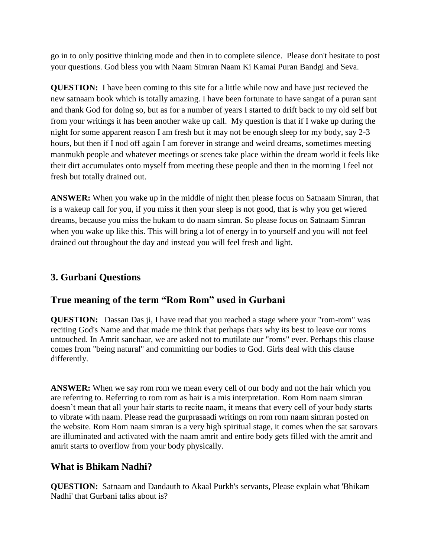go in to only positive thinking mode and then in to complete silence. Please don't hesitate to post your questions. God bless you with Naam Simran Naam Ki Kamai Puran Bandgi and Seva.

**QUESTION:** I have been coming to this site for a little while now and have just recieved the new satnaam book which is totally amazing. I have been fortunate to have sangat of a puran sant and thank God for doing so, but as for a number of years I started to drift back to my old self but from your writings it has been another wake up call. My question is that if I wake up during the night for some apparent reason I am fresh but it may not be enough sleep for my body, say 2-3 hours, but then if I nod off again I am forever in strange and weird dreams, sometimes meeting manmukh people and whatever meetings or scenes take place within the dream world it feels like their dirt accumulates onto myself from meeting these people and then in the morning I feel not fresh but totally drained out.

**ANSWER:** When you wake up in the middle of night then please focus on Satnaam Simran, that is a wakeup call for you, if you miss it then your sleep is not good, that is why you get wiered dreams, because you miss the hukam to do naam simran. So please focus on Satnaam Simran when you wake up like this. This will bring a lot of energy in to yourself and you will not feel drained out throughout the day and instead you will feel fresh and light.

## <span id="page-26-0"></span>**3. Gurbani Questions**

## <span id="page-26-1"></span>**True meaning of the term "Rom Rom" used in Gurbani**

**QUESTION:** Dassan Das ji, I have read that you reached a stage where your "rom-rom" was reciting God's Name and that made me think that perhaps thats why its best to leave our roms untouched. In Amrit sanchaar, we are asked not to mutilate our "roms" ever. Perhaps this clause comes from "being natural" and committing our bodies to God. Girls deal with this clause differently.

**ANSWER:** When we say rom rom we mean every cell of our body and not the hair which you are referring to. Referring to rom rom as hair is a mis interpretation. Rom Rom naam simran doesn't mean that all your hair starts to recite naam, it means that every cell of your body starts to vibrate with naam. Please read the gurprasaadi writings on rom rom naam simran posted on the website. Rom Rom naam simran is a very high spiritual stage, it comes when the sat sarovars are illuminated and activated with the naam amrit and entire body gets filled with the amrit and amrit starts to overflow from your body physically.

## <span id="page-26-2"></span>**What is Bhikam Nadhi?**

**QUESTION:** Satnaam and Dandauth to Akaal Purkh's servants, Please explain what 'Bhikam Nadhi' that Gurbani talks about is?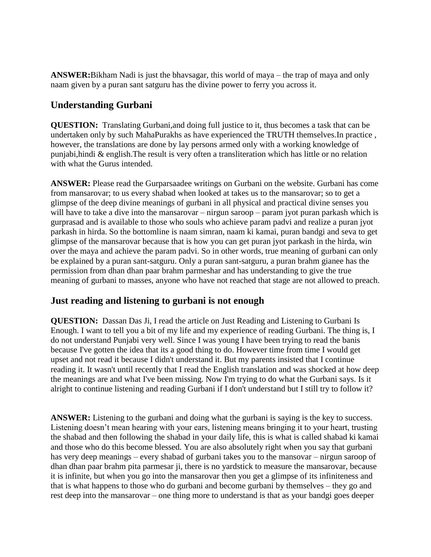**ANSWER:**Bikham Nadi is just the bhavsagar, this world of maya – the trap of maya and only naam given by a puran sant satguru has the divine power to ferry you across it.

## <span id="page-27-0"></span>**Understanding Gurbani**

**QUESTION:** Translating Gurbani,and doing full justice to it, thus becomes a task that can be undertaken only by such MahaPurakhs as have experienced the TRUTH themselves.In practice , however, the translations are done by lay persons armed only with a working knowledge of punjabi,hindi & english.The result is very often a transliteration which has little or no relation with what the Gurus intended.

**ANSWER:** Please read the Gurparsaadee writings on Gurbani on the website. Gurbani has come from mansarovar; to us every shabad when looked at takes us to the mansarovar; so to get a glimpse of the deep divine meanings of gurbani in all physical and practical divine senses you will have to take a dive into the mansarovar – nirgun saroop – param jyot puran parkash which is gurprasad and is available to those who souls who achieve param padvi and realize a puran jyot parkash in hirda. So the bottomline is naam simran, naam ki kamai, puran bandgi and seva to get glimpse of the mansarovar because that is how you can get puran jyot parkash in the hirda, win over the maya and achieve the param padvi. So in other words, true meaning of gurbani can only be explained by a puran sant-satguru. Only a puran sant-satguru, a puran brahm gianee has the permission from dhan dhan paar brahm parmeshar and has understanding to give the true meaning of gurbani to masses, anyone who have not reached that stage are not allowed to preach.

## <span id="page-27-1"></span>**Just reading and listening to gurbani is not enough**

**QUESTION:** Dassan Das Ji, I read the article on Just Reading and Listening to Gurbani Is Enough. I want to tell you a bit of my life and my experience of reading Gurbani. The thing is, I do not understand Punjabi very well. Since I was young I have been trying to read the banis because I've gotten the idea that its a good thing to do. However time from time I would get upset and not read it because I didn't understand it. But my parents insisted that I continue reading it. It wasn't until recently that I read the English translation and was shocked at how deep the meanings are and what I've been missing. Now I'm trying to do what the Gurbani says. Is it alright to continue listening and reading Gurbani if I don't understand but I still try to follow it?

**ANSWER:** Listening to the gurbani and doing what the gurbani is saying is the key to success. Listening doesn't mean hearing with your ears, listening means bringing it to your heart, trusting the shabad and then following the shabad in your daily life, this is what is called shabad ki kamai and those who do this become blessed. You are also absolutely right when you say that gurbani has very deep meanings – every shabad of gurbani takes you to the mansovar – nirgun saroop of dhan dhan paar brahm pita parmesar ji, there is no yardstick to measure the mansarovar, because it is infinite, but when you go into the mansarovar then you get a glimpse of its infiniteness and that is what happens to those who do gurbani and become gurbani by themselves – they go and rest deep into the mansarovar – one thing more to understand is that as your bandgi goes deeper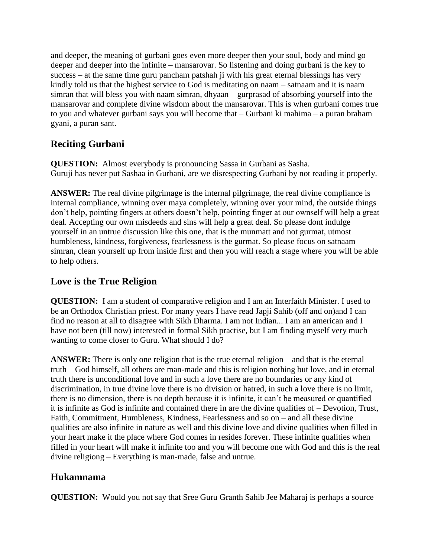and deeper, the meaning of gurbani goes even more deeper then your soul, body and mind go deeper and deeper into the infinite – mansarovar. So listening and doing gurbani is the key to success – at the same time guru pancham patshah ji with his great eternal blessings has very kindly told us that the highest service to God is meditating on naam – satnaam and it is naam simran that will bless you with naam simran, dhyaan – gurprasad of absorbing yourself into the mansarovar and complete divine wisdom about the mansarovar. This is when gurbani comes true to you and whatever gurbani says you will become that – Gurbani ki mahima – a puran braham gyani, a puran sant.

# <span id="page-28-0"></span>**Reciting Gurbani**

**QUESTION:** Almost everybody is pronouncing Sassa in Gurbani as Sasha. Guruji has never put Sashaa in Gurbani, are we disrespecting Gurbani by not reading it properly.

**ANSWER:** The real divine pilgrimage is the internal pilgrimage, the real divine compliance is internal compliance, winning over maya completely, winning over your mind, the outside things don't help, pointing fingers at others doesn't help, pointing finger at our ownself will help a great deal. Accepting our own misdeeds and sins will help a great deal. So please dont indulge yourself in an untrue discussion like this one, that is the munmatt and not gurmat, utmost humbleness, kindness, forgiveness, fearlessness is the gurmat. So please focus on satnaam simran, clean yourself up from inside first and then you will reach a stage where you will be able to help others.

# <span id="page-28-1"></span>**Love is the True Religion**

**QUESTION:** I am a student of comparative religion and I am an Interfaith Minister. I used to be an Orthodox Christian priest. For many years I have read Japji Sahib (off and on)and I can find no reason at all to disagree with Sikh Dharma. I am not Indian... I am an american and I have not been (till now) interested in formal Sikh practise, but I am finding myself very much wanting to come closer to Guru. What should I do?

**ANSWER:** There is only one religion that is the true eternal religion – and that is the eternal truth – God himself, all others are man-made and this is religion nothing but love, and in eternal truth there is unconditional love and in such a love there are no boundaries or any kind of discrimination, in true divine love there is no division or hatred, in such a love there is no limit, there is no dimension, there is no depth because it is infinite, it can't be measured or quantified – it is infinite as God is infinite and contained there in are the divine qualities of – Devotion, Trust, Faith, Commitment, Humbleness, Kindness, Fearlessness and so on – and all these divine qualities are also infinite in nature as well and this divine love and divine qualities when filled in your heart make it the place where God comes in resides forever. These infinite qualities when filled in your heart will make it infinite too and you will become one with God and this is the real divine religiong – Everything is man-made, false and untrue.

# <span id="page-28-2"></span>**Hukamnama**

**QUESTION:** Would you not say that Sree Guru Granth Sahib Jee Maharaj is perhaps a source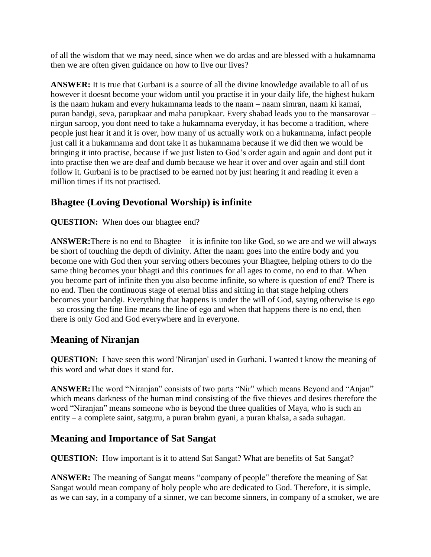of all the wisdom that we may need, since when we do ardas and are blessed with a hukamnama then we are often given guidance on how to live our lives?

**ANSWER:** It is true that Gurbani is a source of all the divine knowledge available to all of us however it doesnt become your widom until you practise it in your daily life, the highest hukam is the naam hukam and every hukamnama leads to the naam – naam simran, naam ki kamai, puran bandgi, seva, parupkaar and maha parupkaar. Every shabad leads you to the mansarovar – nirgun saroop, you dont need to take a hukamnama everyday, it has become a tradition, where people just hear it and it is over, how many of us actually work on a hukamnama, infact people just call it a hukamnama and dont take it as hukamnama because if we did then we would be bringing it into practise, because if we just listen to God's order again and again and dont put it into practise then we are deaf and dumb because we hear it over and over again and still dont follow it. Gurbani is to be practised to be earned not by just hearing it and reading it even a million times if its not practised.

# **Bhagtee (Loving Devotional Worship) is infinite**

#### **QUESTION:** When does our bhagtee end?

**ANSWER:**There is no end to Bhagtee – it is infinite too like God, so we are and we will always be short of touching the depth of divinity. After the naam goes into the entire body and you become one with God then your serving others becomes your Bhagtee, helping others to do the same thing becomes your bhagti and this continues for all ages to come, no end to that. When you become part of infinite then you also become infinite, so where is question of end? There is no end. Then the continuous stage of eternal bliss and sitting in that stage helping others becomes your bandgi. Everything that happens is under the will of God, saying otherwise is ego – so crossing the fine line means the line of ego and when that happens there is no end, then there is only God and God everywhere and in everyone.

## <span id="page-29-0"></span>**Meaning of Niranjan**

**QUESTION:** I have seen this word 'Niranjan' used in Gurbani. I wanted t know the meaning of this word and what does it stand for.

**ANSWER:**The word "Niranjan" consists of two parts "Nir" which means Beyond and "Anjan" which means darkness of the human mind consisting of the five thieves and desires therefore the word "Niranjan" means someone who is beyond the three qualities of Maya, who is such an entity – a complete saint, satguru, a puran brahm gyani, a puran khalsa, a sada suhagan.

# **Meaning and Importance of Sat Sangat**

**QUESTION:** How important is it to attend Sat Sangat? What are benefits of Sat Sangat?

**ANSWER:** The meaning of Sangat means "company of people" therefore the meaning of Sat Sangat would mean company of holy people who are dedicated to God. Therefore, it is simple, as we can say, in a company of a sinner, we can become sinners, in company of a smoker, we are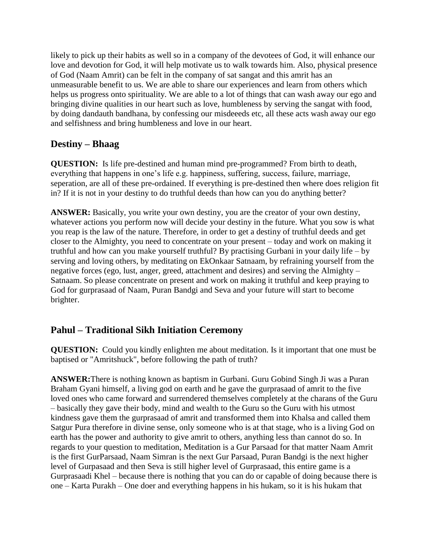likely to pick up their habits as well so in a company of the devotees of God, it will enhance our love and devotion for God, it will help motivate us to walk towards him. Also, physical presence of God (Naam Amrit) can be felt in the company of sat sangat and this amrit has an unmeasurable benefit to us. We are able to share our experiences and learn from others which helps us progress onto spirituality. We are able to a lot of things that can wash away our ego and bringing divine qualities in our heart such as love, humbleness by serving the sangat with food, by doing dandauth bandhana, by confessing our misdeeeds etc, all these acts wash away our ego and selfishness and bring humbleness and love in our heart.

#### **Destiny – Bhaag**

**QUESTION:** Is life pre-destined and human mind pre-programmed? From birth to death, everything that happens in one's life e.g. happiness, suffering, success, failure, marriage, seperation, are all of these pre-ordained. If everything is pre-destined then where does religion fit in? If it is not in your destiny to do truthful deeds than how can you do anything better?

**ANSWER:** Basically, you write your own destiny, you are the creator of your own destiny, whatever actions you perform now will decide your destiny in the future. What you sow is what you reap is the law of the nature. Therefore, in order to get a destiny of truthful deeds and get closer to the Almighty, you need to concentrate on your present – today and work on making it truthful and how can you make yourself truthful? By practising Gurbani in your daily life – by serving and loving others, by meditating on EkOnkaar Satnaam, by refraining yourself from the negative forces (ego, lust, anger, greed, attachment and desires) and serving the Almighty – Satnaam. So please concentrate on present and work on making it truthful and keep praying to God for gurprasaad of Naam, Puran Bandgi and Seva and your future will start to become brighter.

## **Pahul – Traditional Sikh Initiation Ceremony**

**QUESTION:** Could you kindly enlighten me about meditation. Is it important that one must be baptised or "Amritshuck", before following the path of truth?

**ANSWER:**There is nothing known as baptism in Gurbani. Guru Gobind Singh Ji was a Puran Braham Gyani himself, a living god on earth and he gave the gurprasaad of amrit to the five loved ones who came forward and surrendered themselves completely at the charans of the Guru – basically they gave their body, mind and wealth to the Guru so the Guru with his utmost kindness gave them the gurprasaad of amrit and transformed them into Khalsa and called them Satgur Pura therefore in divine sense, only someone who is at that stage, who is a living God on earth has the power and authority to give amrit to others, anything less than cannot do so. In regards to your question to meditation, Meditation is a Gur Parsaad for that matter Naam Amrit is the first GurParsaad, Naam Simran is the next Gur Parsaad, Puran Bandgi is the next higher level of Gurpasaad and then Seva is still higher level of Gurprasaad, this entire game is a Gurprasaadi Khel – because there is nothing that you can do or capable of doing because there is one – Karta Purakh – One doer and everything happens in his hukam, so it is his hukam that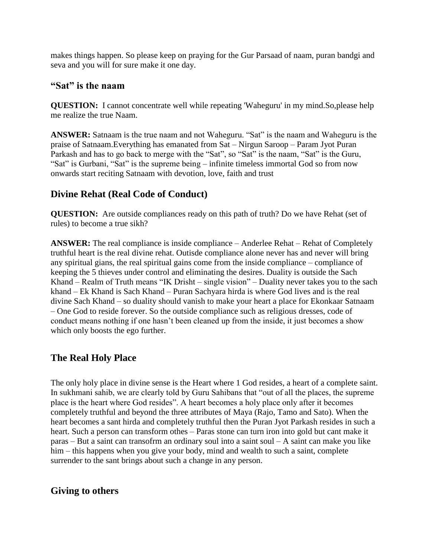makes things happen. So please keep on praying for the Gur Parsaad of naam, puran bandgi and seva and you will for sure make it one day.

#### <span id="page-31-0"></span>**"Sat" is the naam**

**QUESTION:** I cannot concentrate well while repeating 'Waheguru' in my mind.So,please help me realize the true Naam.

**ANSWER:** Satnaam is the true naam and not Waheguru. "Sat" is the naam and Waheguru is the praise of Satnaam.Everything has emanated from Sat – Nirgun Saroop – Param Jyot Puran Parkash and has to go back to merge with the "Sat", so "Sat" is the naam, "Sat" is the Guru, "Sat" is Gurbani, "Sat" is the supreme being – infinite timeless immortal God so from now onwards start reciting Satnaam with devotion, love, faith and trust

# <span id="page-31-1"></span>**Divine Rehat (Real Code of Conduct)**

**QUESTION:** Are outside compliances ready on this path of truth? Do we have Rehat (set of rules) to become a true sikh?

**ANSWER:** The real compliance is inside compliance – Anderlee Rehat – Rehat of Completely truthful heart is the real divine rehat. Outisde compliance alone never has and never will bring any spiritual gians, the real spiritual gains come from the inside compliance – compliance of keeping the 5 thieves under control and eliminating the desires. Duality is outside the Sach Khand – Realm of Truth means "IK Drisht – single vision" – Duality never takes you to the sach khand – Ek Khand is Sach Khand – Puran Sachyara hirda is where God lives and is the real divine Sach Khand – so duality should vanish to make your heart a place for Ekonkaar Satnaam – One God to reside forever. So the outside compliance such as religious dresses, code of conduct means nothing if one hasn't been cleaned up from the inside, it just becomes a show which only boosts the ego further.

# <span id="page-31-2"></span>**The Real Holy Place**

The only holy place in divine sense is the Heart where 1 God resides, a heart of a complete saint. In sukhmani sahib, we are clearly told by Guru Sahibans that "out of all the places, the supreme place is the heart where God resides". A heart becomes a holy place only after it becomes completely truthful and beyond the three attributes of Maya (Rajo, Tamo and Sato). When the heart becomes a sant hirda and completely truthful then the Puran Jyot Parkash resides in such a heart. Such a person can transform othes – Paras stone can turn iron into gold but cant make it paras – But a saint can transofrm an ordinary soul into a saint soul – A saint can make you like him – this happens when you give your body, mind and wealth to such a saint, complete surrender to the sant brings about such a change in any person.

# **Giving to others**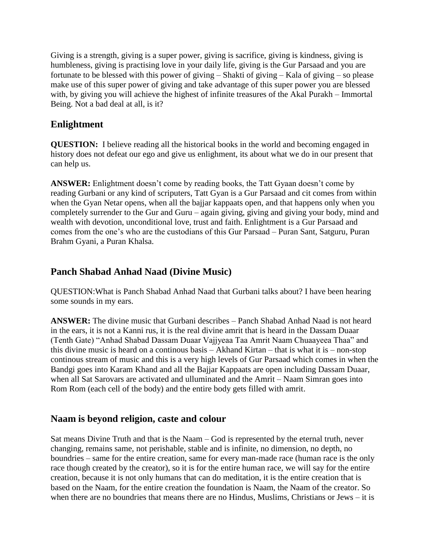Giving is a strength, giving is a super power, giving is sacrifice, giving is kindness, giving is humbleness, giving is practising love in your daily life, giving is the Gur Parsaad and you are fortunate to be blessed with this power of giving – Shakti of giving – Kala of giving – so please make use of this super power of giving and take advantage of this super power you are blessed with, by giving you will achieve the highest of infinite treasures of the Akal Purakh – Immortal Being. Not a bad deal at all, is it?

## **Enlightment**

**QUESTION:** I believe reading all the historical books in the world and becoming engaged in history does not defeat our ego and give us enlighment, its about what we do in our present that can help us.

**ANSWER:** Enlightment doesn't come by reading books, the Tatt Gyaan doesn't come by reading Gurbani or any kind of scriputers, Tatt Gyan is a Gur Parsaad and cit comes from within when the Gyan Netar opens, when all the bajjar kappaats open, and that happens only when you completely surrender to the Gur and Guru – again giving, giving and giving your body, mind and wealth with devotion, unconditional love, trust and faith. Enlightment is a Gur Parsaad and comes from the one's who are the custodians of this Gur Parsaad – Puran Sant, Satguru, Puran Brahm Gyani, a Puran Khalsa.

## **Panch Shabad Anhad Naad (Divine Music)**

QUESTION:What is Panch Shabad Anhad Naad that Gurbani talks about? I have been hearing some sounds in my ears.

**ANSWER:** The divine music that Gurbani describes – Panch Shabad Anhad Naad is not heard in the ears, it is not a Kanni rus, it is the real divine amrit that is heard in the Dassam Duaar (Tenth Gate) "Anhad Shabad Dassam Duaar Vajjyeaa Taa Amrit Naam Chuaayeea Thaa" and this divine music is heard on a continous basis – Akhand Kirtan – that is what it is – non-stop continous stream of music and this is a very high levels of Gur Parsaad which comes in when the Bandgi goes into Karam Khand and all the Bajjar Kappaats are open including Dassam Duaar, when all Sat Sarovars are activated and ulluminated and the Amrit – Naam Simran goes into Rom Rom (each cell of the body) and the entire body gets filled with amrit.

#### **Naam is beyond religion, caste and colour**

Sat means Divine Truth and that is the Naam – God is represented by the eternal truth, never changing, remains same, not perishable, stable and is infinite, no dimension, no depth, no boundries – same for the entire creation, same for every man-made race (human race is the only race though created by the creator), so it is for the entire human race, we will say for the entire creation, because it is not only humans that can do meditation, it is the entire creation that is based on the Naam, for the entire creation the foundation is Naam, the Naam of the creator. So when there are no boundries that means there are no Hindus, Muslims, Christians or Jews – it is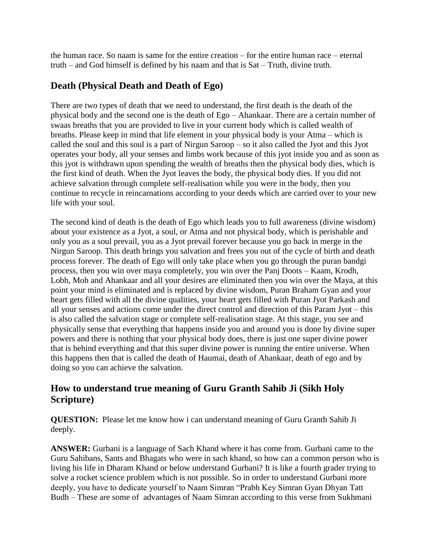the human race. So naam is same for the entire creation – for the entire human race – eternal truth – and God himself is defined by his naam and that is Sat – Truth, divine truth.

## **Death (Physical Death and Death of Ego)**

There are two types of death that we need to understand, the first death is the death of the physical body and the second one is the death of Ego – Ahankaar. There are a certain number of swaas breaths that you are provided to live in your current body which is called wealth of breaths. Please keep in mind that life element in your physical body is your Atma – which is called the soul and this soul is a part of Nirgun Saroop – so it also called the Jyot and this Jyot operates your body, all your senses and limbs work because of this jyot inside you and as soon as this jyot is withdrawn upon spending the wealth of breaths then the physical body dies, which is the first kind of death. When the Jyot leaves the body, the physical body dies. If you did not achieve salvation through complete self-realisation while you were in the body, then you continue to recycle in reincarnations according to your deeds which are carried over to your new life with your soul.

The second kind of death is the death of Ego which leads you to full awareness (divine wisdom) about your existence as a Jyot, a soul, or Atma and not physical body, which is perishable and only you as a soul prevail, you as a Jyot prevail forever because you go back in merge in the Nirgun Saroop. This death brings you salvation and frees you out of the cycle of birth and death process forever. The death of Ego will only take place when you go through the puran bandgi process, then you win over maya completely, you win over the Panj Doots – Kaam, Krodh, Lobh, Moh and Ahankaar and all your desires are eliminated then you win over the Maya, at this point your mind is eliminated and is replaced by divine wisdom, Puran Braham Gyan and your heart gets filled with all the divine qualities, your heart gets filled with Puran Jyot Parkash and all your senses and actions come under the direct control and direction of this Param Jyot – this is also called the salvation stage or complete self-realisation stage. At this stage, you see and physically sense that everything that happens inside you and around you is done by divine super powers and there is nothing that your physical body does, there is just one super divine power that is behind everything and that this super divine power is running the entire universe. When this happens then that is called the death of Haumai, death of Ahankaar, death of ego and by doing so you can achieve the salvation.

## <span id="page-33-0"></span>**How to understand true meaning of Guru Granth Sahib Ji (Sikh Holy Scripture)**

**QUESTION:** Please let me know how i can understand meaning of Guru Granth Sahib Ji deeply.

**ANSWER:** Gurbani is a language of Sach Khand where it has come from. Gurbani came to the Guru Sahibans, Sants and Bhagats who were in sach khand, so how can a common person who is living his life in Dharam Khand or below understand Gurbani? It is like a fourth grader trying to solve a rocket science problem which is not possible. So in order to understand Gurbani more deeply, you have to dedicate yourself to Naam Simran "Prabh Key Simran Gyan Dhyan Tatt Budh – These are some of advantages of Naam Simran according to this verse from Sukhmani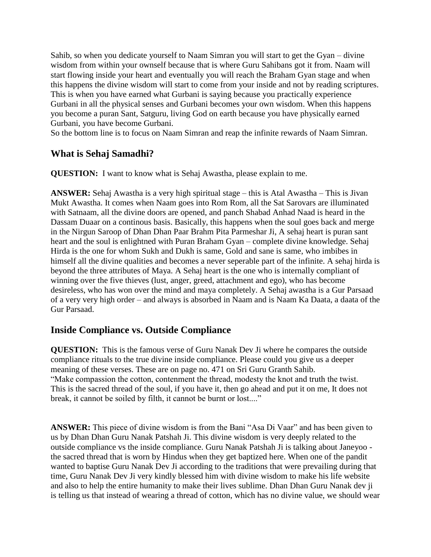Sahib, so when you dedicate yourself to Naam Simran you will start to get the Gyan – divine wisdom from within your ownself because that is where Guru Sahibans got it from. Naam will start flowing inside your heart and eventually you will reach the Braham Gyan stage and when this happens the divine wisdom will start to come from your inside and not by reading scriptures. This is when you have earned what Gurbani is saying because you practically experience Gurbani in all the physical senses and Gurbani becomes your own wisdom. When this happens you become a puran Sant, Satguru, living God on earth because you have physically earned Gurbani, you have become Gurbani.

So the bottom line is to focus on Naam Simran and reap the infinite rewards of Naam Simran.

#### <span id="page-34-0"></span>**What is Sehaj Samadhi?**

**QUESTION:** I want to know what is Sehaj Awastha, please explain to me.

**ANSWER:** Sehaj Awastha is a very high spiritual stage – this is Atal Awastha – This is Jivan Mukt Awastha. It comes when Naam goes into Rom Rom, all the Sat Sarovars are illuminated with Satnaam, all the divine doors are opened, and panch Shabad Anhad Naad is heard in the Dassam Duaar on a continous basis. Basically, this happens when the soul goes back and merge in the Nirgun Saroop of Dhan Dhan Paar Brahm Pita Parmeshar Ji, A sehaj heart is puran sant heart and the soul is enlightned with Puran Braham Gyan – complete divine knowledge. Sehaj Hirda is the one for whom Sukh and Dukh is same, Gold and sane is same, who imbibes in himself all the divine qualities and becomes a never seperable part of the infinite. A sehaj hirda is beyond the three attributes of Maya. A Sehaj heart is the one who is internally compliant of winning over the five thieves (lust, anger, greed, attachment and ego), who has become desireless, who has won over the mind and maya completely. A Sehaj awastha is a Gur Parsaad of a very very high order – and always is absorbed in Naam and is Naam Ka Daata, a daata of the Gur Parsaad.

## <span id="page-34-1"></span>**Inside Compliance vs. Outside Compliance**

**QUESTION:** This is the famous verse of Guru Nanak Dev Ji where he compares the outside compliance rituals to the true divine inside compliance. Please could you give us a deeper meaning of these verses. These are on page no. 471 on Sri Guru Granth Sahib. "Make compassion the cotton, contenment the thread, modesty the knot and truth the twist. This is the sacred thread of the soul, if you have it, then go ahead and put it on me, It does not break, it cannot be soiled by filth, it cannot be burnt or lost...."

**ANSWER:** This piece of divine wisdom is from the Bani "Asa Di Vaar" and has been given to us by Dhan Dhan Guru Nanak Patshah Ji. This divine wisdom is very deeply related to the outside compliance vs the inside compliance. Guru Nanak Patshah Ji is talking about Janeyoo the sacred thread that is worn by Hindus when they get baptized here. When one of the pandit wanted to baptise Guru Nanak Dev Ji according to the traditions that were prevailing during that time, Guru Nanak Dev Ji very kindly blessed him with divine wisdom to make his life website and also to help the entire humanity to make their lives sublime. Dhan Dhan Guru Nanak dev ji is telling us that instead of wearing a thread of cotton, which has no divine value, we should wear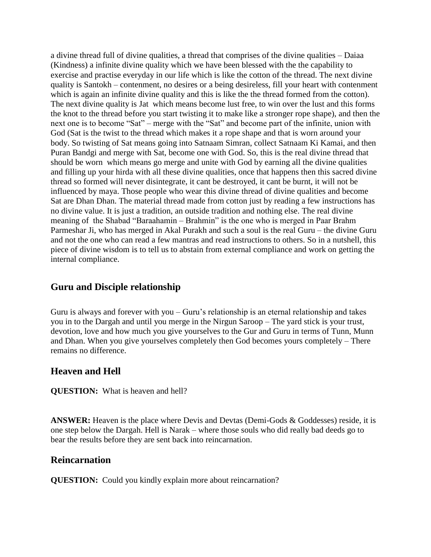a divine thread full of divine qualities, a thread that comprises of the divine qualities – Daiaa (Kindness) a infinite divine quality which we have been blessed with the the capability to exercise and practise everyday in our life which is like the cotton of the thread. The next divine quality is Santokh – contenment, no desires or a being desireless, fill your heart with contenment which is again an infinite divine quality and this is like the the thread formed from the cotton). The next divine quality is Jat which means become lust free, to win over the lust and this forms the knot to the thread before you start twisting it to make like a stronger rope shape), and then the next one is to become "Sat" – merge with the "Sat" and become part of the infinite, union with God (Sat is the twist to the thread which makes it a rope shape and that is worn around your body. So twisting of Sat means going into Satnaam Simran, collect Satnaam Ki Kamai, and then Puran Bandgi and merge with Sat, become one with God. So, this is the real divine thread that should be worn which means go merge and unite with God by earning all the divine qualities and filling up your hirda with all these divine qualities, once that happens then this sacred divine thread so formed will never disintegrate, it cant be destroyed, it cant be burnt, it will not be influenced by maya. Those people who wear this divine thread of divine qualities and become Sat are Dhan Dhan. The material thread made from cotton just by reading a few instructions has no divine value. It is just a tradition, an outside tradition and nothing else. The real divine meaning of the Shabad "Baraahamin – Brahmin" is the one who is merged in Paar Brahm Parmeshar Ji, who has merged in Akal Purakh and such a soul is the real Guru – the divine Guru and not the one who can read a few mantras and read instructions to others. So in a nutshell, this piece of divine wisdom is to tell us to abstain from external compliance and work on getting the internal compliance.

## <span id="page-35-0"></span>**Guru and Disciple relationship**

Guru is always and forever with you – Guru's relationship is an eternal relationship and takes you in to the Dargah and until you merge in the Nirgun Saroop – The yard stick is your trust, devotion, love and how much you give yourselves to the Gur and Guru in terms of Tunn, Munn and Dhan. When you give yourselves completely then God becomes yours completely – There remains no difference.

#### <span id="page-35-1"></span>**Heaven and Hell**

**QUESTION:** What is heaven and hell?

**ANSWER:** Heaven is the place where Devis and Devtas (Demi-Gods & Goddesses) reside, it is one step below the Dargah. Hell is Narak – where those souls who did really bad deeds go to bear the results before they are sent back into reincarnation.

#### <span id="page-35-2"></span>**Reincarnation**

**QUESTION:** Could you kindly explain more about reincarnation?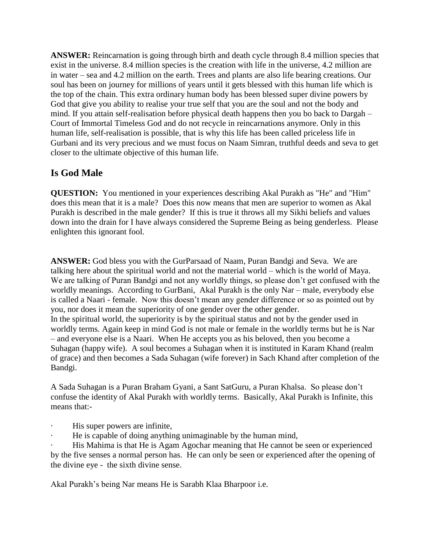**ANSWER:** Reincarnation is going through birth and death cycle through 8.4 million species that exist in the universe. 8.4 million species is the creation with life in the universe, 4.2 million are in water – sea and 4.2 million on the earth. Trees and plants are also life bearing creations. Our soul has been on journey for millions of years until it gets blessed with this human life which is the top of the chain. This extra ordinary human body has been blessed super divine powers by God that give you ability to realise your true self that you are the soul and not the body and mind. If you attain self-realisation before physical death happens then you bo back to Dargah – Court of Immortal Timeless God and do not recycle in reincarnations anymore. Only in this human life, self-realisation is possible, that is why this life has been called priceless life in Gurbani and its very precious and we must focus on Naam Simran, truthful deeds and seva to get closer to the ultimate objective of this human life.

# <span id="page-36-0"></span>**Is God Male**

**QUESTION:** You mentioned in your experiences describing Akal Purakh as "He" and "Him" does this mean that it is a male? Does this now means that men are superior to women as Akal Purakh is described in the male gender? If this is true it throws all my Sikhi beliefs and values down into the drain for I have always considered the Supreme Being as being genderless. Please enlighten this ignorant fool.

**ANSWER:** God bless you with the GurParsaad of Naam, Puran Bandgi and Seva. We are talking here about the spiritual world and not the material world – which is the world of Maya. We are talking of Puran Bandgi and not any worldly things, so please don't get confused with the worldly meanings. According to GurBani, Akal Purakh is the only Nar – male, everybody else is called a Naari - female. Now this doesn't mean any gender difference or so as pointed out by you, nor does it mean the superiority of one gender over the other gender. In the spiritual world, the superiority is by the spiritual status and not by the gender used in worldly terms. Again keep in mind God is not male or female in the worldly terms but he is Nar – and everyone else is a Naari. When He accepts you as his beloved, then you become a Suhagan (happy wife). A soul becomes a Suhagan when it is instituted in Karam Khand (realm of grace) and then becomes a Sada Suhagan (wife forever) in Sach Khand after completion of the Bandgi.

A Sada Suhagan is a Puran Braham Gyani, a Sant SatGuru, a Puran Khalsa. So please don't confuse the identity of Akal Purakh with worldly terms. Basically, Akal Purakh is Infinite, this means that:-

- His super powers are infinite,
- He is capable of doing anything unimaginable by the human mind,

His Mahima is that He is Agam Agochar meaning that He cannot be seen or experienced by the five senses a normal person has. He can only be seen or experienced after the opening of the divine eye - the sixth divine sense.

Akal Purakh's being Nar means He is Sarabh Klaa Bharpoor i.e.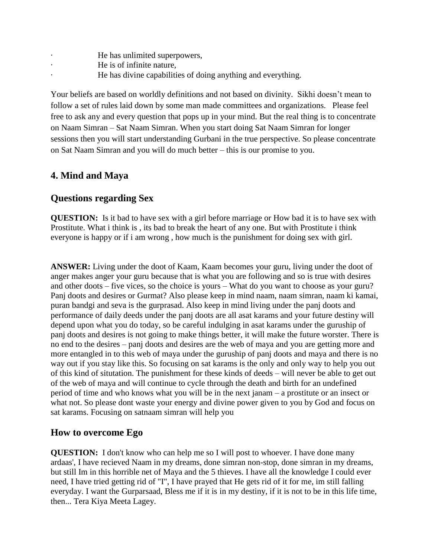- He has unlimited superpowers,
- He is of infinite nature,
- He has divine capabilities of doing anything and everything.

Your beliefs are based on worldly definitions and not based on divinity. Sikhi doesn't mean to follow a set of rules laid down by some man made committees and organizations. Please feel free to ask any and every question that pops up in your mind. But the real thing is to concentrate on Naam Simran – Sat Naam Simran. When you start doing Sat Naam Simran for longer sessions then you will start understanding Gurbani in the true perspective. So please concentrate on Sat Naam Simran and you will do much better – this is our promise to you.

## <span id="page-37-0"></span>**4. Mind and Maya**

#### <span id="page-37-1"></span>**Questions regarding Sex**

**QUESTION:** Is it bad to have sex with a girl before marriage or How bad it is to have sex with Prostitute. What i think is , its bad to break the heart of any one. But with Prostitute i think everyone is happy or if i am wrong , how much is the punishment for doing sex with girl.

**ANSWER:** Living under the doot of Kaam, Kaam becomes your guru, living under the doot of anger makes anger your guru because that is what you are following and so is true with desires and other doots – five vices, so the choice is yours – What do you want to choose as your guru? Panj doots and desires or Gurmat? Also please keep in mind naam, naam simran, naam ki kamai, puran bandgi and seva is the gurprasad. Also keep in mind living under the panj doots and performance of daily deeds under the panj doots are all asat karams and your future destiny will depend upon what you do today, so be careful indulging in asat karams under the guruship of panj doots and desires is not going to make things better, it will make the future worster. There is no end to the desires – panj doots and desires are the web of maya and you are getting more and more entangled in to this web of maya under the guruship of panj doots and maya and there is no way out if you stay like this. So focusing on sat karams is the only and only way to help you out of this kind of situtation. The punishment for these kinds of deeds – will never be able to get out of the web of maya and will continue to cycle through the death and birth for an undefined period of time and who knows what you will be in the next janam – a prostitute or an insect or what not. So please dont waste your energy and divine power given to you by God and focus on sat karams. Focusing on satnaam simran will help you

## **How to overcome Ego**

**QUESTION:** I don't know who can help me so I will post to whoever. I have done many ardaas', I have recieved Naam in my dreams, done simran non-stop, done simran in my dreams, but still Im in this horrible net of Maya and the 5 thieves. I have all the knowledge I could ever need, I have tried getting rid of "I", I have prayed that He gets rid of it for me, im still falling everyday. I want the Gurparsaad, Bless me if it is in my destiny, if it is not to be in this life time, then... Tera Kiya Meeta Lagey.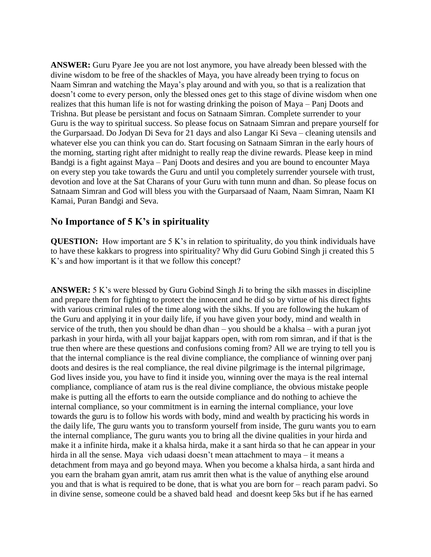**ANSWER:** Guru Pyare Jee you are not lost anymore, you have already been blessed with the divine wisdom to be free of the shackles of Maya, you have already been trying to focus on Naam Simran and watching the Maya's play around and with you, so that is a realization that doesn't come to every person, only the blessed ones get to this stage of divine wisdom when one realizes that this human life is not for wasting drinking the poison of Maya – Panj Doots and Trishna. But please be persistant and focus on Satnaam Simran. Complete surrender to your Guru is the way to spiritual success. So please focus on Satnaam Simran and prepare yourself for the Gurparsaad. Do Jodyan Di Seva for 21 days and also Langar Ki Seva – cleaning utensils and whatever else you can think you can do. Start focusing on Satnaam Simran in the early hours of the morning, starting right after midnight to really reap the divine rewards. Please keep in mind Bandgi is a fight against Maya – Panj Doots and desires and you are bound to encounter Maya on every step you take towards the Guru and until you completely surrender yoursele with trust, devotion and love at the Sat Charans of your Guru with tunn munn and dhan. So please focus on Satnaam Simran and God will bless you with the Gurparsaad of Naam, Naam Simran, Naam KI Kamai, Puran Bandgi and Seva.

#### **No Importance of 5 K's in spirituality**

**QUESTION:** How important are 5 K's in relation to spirituality, do you think individuals have to have these kakkars to progress into spirituality? Why did Guru Gobind Singh ji created this 5 K's and how important is it that we follow this concept?

**ANSWER:** 5 K's were blessed by Guru Gobind Singh Ji to bring the sikh masses in discipline and prepare them for fighting to protect the innocent and he did so by virtue of his direct fights with various criminal rules of the time along with the sikhs. If you are following the hukam of the Guru and applying it in your daily life, if you have given your body, mind and wealth in service of the truth, then you should be dhan dhan – you should be a khalsa – with a puran jyot parkash in your hirda, with all your bajjat kappars open, with rom rom simran, and if that is the true then where are these questions and confusions coming from? All we are trying to tell you is that the internal compliance is the real divine compliance, the compliance of winning over panj doots and desires is the real compliance, the real divine pilgrimage is the internal pilgrimage, God lives inside you, you have to find it inside you, winning over the maya is the real internal compliance, compliance of atam rus is the real divine compliance, the obvious mistake people make is putting all the efforts to earn the outside compliance and do nothing to achieve the internal compliance, so your commitment is in earning the internal compliance, your love towards the guru is to follow his words with body, mind and wealth by practicing his words in the daily life, The guru wants you to transform yourself from inside, The guru wants you to earn the internal compliance, The guru wants you to bring all the divine qualities in your hirda and make it a infinite hirda, make it a khalsa hirda, make it a sant hirda so that he can appear in your hirda in all the sense. Maya vich udaasi doesn't mean attachment to maya – it means a detachment from maya and go beyond maya. When you become a khalsa hirda, a sant hirda and you earn the braham gyan amrit, atam rus amrit then what is the value of anything else around you and that is what is required to be done, that is what you are born for – reach param padvi. So in divine sense, someone could be a shaved bald head and doesnt keep 5ks but if he has earned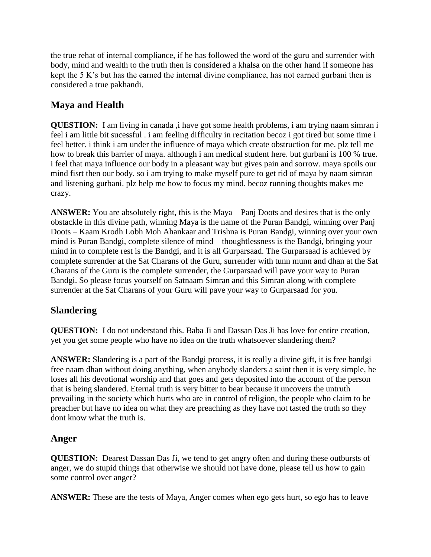the true rehat of internal compliance, if he has followed the word of the guru and surrender with body, mind and wealth to the truth then is considered a khalsa on the other hand if someone has kept the 5 K's but has the earned the internal divine compliance, has not earned gurbani then is considered a true pakhandi.

# **Maya and Health**

**QUESTION:** I am living in canada, i have got some health problems, i am trying naam simran i feel i am little bit sucessful . i am feeling difficulty in recitation becoz i got tired but some time i feel better. i think i am under the influence of maya which create obstruction for me. plz tell me how to break this barrier of maya. although i am medical student here. but gurbani is 100 % true. i feel that maya influence our body in a pleasant way but gives pain and sorrow. maya spoils our mind fisrt then our body. so i am trying to make myself pure to get rid of maya by naam simran and listening gurbani. plz help me how to focus my mind. becoz running thoughts makes me crazy.

**ANSWER:** You are absolutely right, this is the Maya – Panj Doots and desires that is the only obstackle in this divine path, winning Maya is the name of the Puran Bandgi, winning over Panj Doots – Kaam Krodh Lobh Moh Ahankaar and Trishna is Puran Bandgi, winning over your own mind is Puran Bandgi, complete silence of mind – thoughtlessness is the Bandgi, bringing your mind in to complete rest is the Bandgi, and it is all Gurparsaad. The Gurparsaad is achieved by complete surrender at the Sat Charans of the Guru, surrender with tunn munn and dhan at the Sat Charans of the Guru is the complete surrender, the Gurparsaad will pave your way to Puran Bandgi. So please focus yourself on Satnaam Simran and this Simran along with complete surrender at the Sat Charans of your Guru will pave your way to Gurparsaad for you.

# <span id="page-39-0"></span>**Slandering**

**QUESTION:** I do not understand this. Baba Ji and Dassan Das Ji has love for entire creation, yet you get some people who have no idea on the truth whatsoever slandering them?

**ANSWER:** Slandering is a part of the Bandgi process, it is really a divine gift, it is free bandgi – free naam dhan without doing anything, when anybody slanders a saint then it is very simple, he loses all his devotional worship and that goes and gets deposited into the account of the person that is being slandered. Eternal truth is very bitter to bear because it uncovers the untruth prevailing in the society which hurts who are in control of religion, the people who claim to be preacher but have no idea on what they are preaching as they have not tasted the truth so they dont know what the truth is.

# <span id="page-39-1"></span>**Anger**

**QUESTION:** Dearest Dassan Das Ji, we tend to get angry often and during these outbursts of anger, we do stupid things that otherwise we should not have done, please tell us how to gain some control over anger?

**ANSWER:** These are the tests of Maya, Anger comes when ego gets hurt, so ego has to leave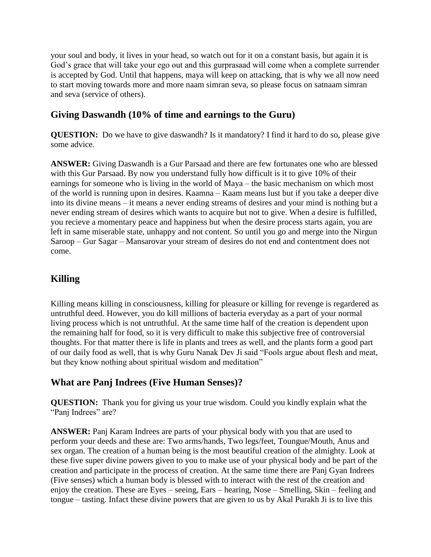your soul and body, it lives in your head, so watch out for it on a constant basis, but again it is God's grace that will take your ego out and this gurprasaad will come when a complete surrender is accepted by God. Until that happens, maya will keep on attacking, that is why we all now need to start moving towards more and more naam simran seva, so please focus on satnaam simran and seva (service of others).

# <span id="page-40-0"></span>**Giving Daswandh (10% of time and earnings to the Guru)**

**QUESTION:** Do we have to give daswandh? Is it mandatory? I find it hard to do so, please give some advice.

**ANSWER:** Giving Daswandh is a Gur Parsaad and there are few fortunates one who are blessed with this Gur Parsaad. By now you understand fully how difficult is it to give 10% of their earnings for someone who is living in the world of Maya – the basic mechanism on which most of the world is running upon in desires. Kaamna – Kaam means lust but if you take a deeper dive into its divine means – it means a never ending streams of desires and your mind is nothing but a never ending stream of desires which wants to acquire but not to give. When a desire is fulfilled, you recieve a momentary peace and happiness but when the desire process starts again, you are left in same miserable state, unhappy and not content. So until you go and merge into the Nirgun Saroop – Gur Sagar – Mansarovar your stream of desires do not end and contentment does not come.

# <span id="page-40-1"></span>**Killing**

Killing means killing in consciousness, killing for pleasure or killing for revenge is regardered as untruthful deed. However, you do kill millions of bacteria everyday as a part of your normal living process which is not untruthful. At the same time half of the creation is dependent upon the remaining half for food, so it is very difficult to make this subjective free of controversial thoughts. For that matter there is life in plants and trees as well, and the plants form a good part of our daily food as well, that is why Guru Nanak Dev Ji said "Fools argue about flesh and meat, but they know nothing about spiritual wisdom and meditation"

# <span id="page-40-2"></span>**What are Panj Indrees (Five Human Senses)?**

**QUESTION:** Thank you for giving us your true wisdom. Could you kindly explain what the "Panj Indrees" are?

**ANSWER:** Panj Karam Indrees are parts of your physical body with you that are used to perform your deeds and these are: Two arms/hands, Two legs/feet, Toungue/Mouth, Anus and sex organ. The creation of a human being is the most beautiful creation of the almighty. Look at these five super divine powers given to you to make use of your physical body and be part of the creation and participate in the process of creation. At the same time there are Panj Gyan Indrees (Five senses) which a human body is blessed with to interact with the rest of the creation and enjoy the creation. These are Eyes – seeing, Ears – hearing, Nose – Smelling, Skin – feeling and tongue – tasting. Infact these divine powers that are given to us by Akal Purakh Ji is to live this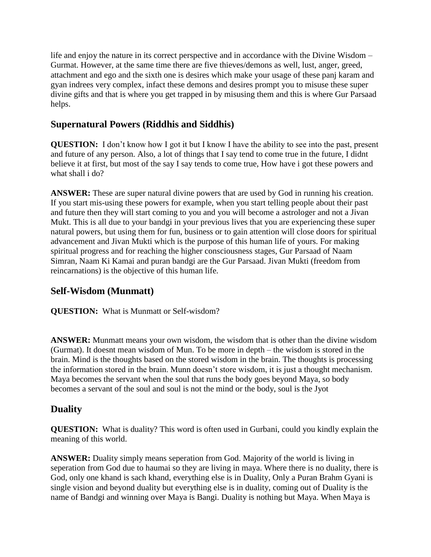life and enjoy the nature in its correct perspective and in accordance with the Divine Wisdom – Gurmat. However, at the same time there are five thieves/demons as well, lust, anger, greed, attachment and ego and the sixth one is desires which make your usage of these panj karam and gyan indrees very complex, infact these demons and desires prompt you to misuse these super divine gifts and that is where you get trapped in by misusing them and this is where Gur Parsaad helps.

## <span id="page-41-0"></span>**Supernatural Powers (Riddhis and Siddhis)**

**QUESTION:** I don't know how I got it but I know I have the ability to see into the past, present and future of any person. Also, a lot of things that I say tend to come true in the future, I didnt believe it at first, but most of the say I say tends to come true, How have i got these powers and what shall i do?

**ANSWER:** These are super natural divine powers that are used by God in running his creation. If you start mis-using these powers for example, when you start telling people about their past and future then they will start coming to you and you will become a astrologer and not a Jivan Mukt. This is all due to your bandgi in your previous lives that you are experiencing these super natural powers, but using them for fun, business or to gain attention will close doors for spiritual advancement and Jivan Mukti which is the purpose of this human life of yours. For making spiritual progress and for reaching the higher consciousness stages, Gur Parsaad of Naam Simran, Naam Ki Kamai and puran bandgi are the Gur Parsaad. Jivan Mukti (freedom from reincarnations) is the objective of this human life.

## **Self-Wisdom (Munmatt)**

**QUESTION:** What is Munmatt or Self-wisdom?

**ANSWER:** Munmatt means your own wisdom, the wisdom that is other than the divine wisdom (Gurmat). It doesnt mean wisdom of Mun. To be more in depth – the wisdom is stored in the brain. Mind is the thoughts based on the stored wisdom in the brain. The thoughts is processing the information stored in the brain. Munn doesn't store wisdom, it is just a thought mechanism. Maya becomes the servant when the soul that runs the body goes beyond Maya, so body becomes a servant of the soul and soul is not the mind or the body, soul is the Jyot

# **Duality**

**QUESTION:** What is duality? This word is often used in Gurbani, could you kindly explain the meaning of this world.

**ANSWER:** Duality simply means seperation from God. Majority of the world is living in seperation from God due to haumai so they are living in maya. Where there is no duality, there is God, only one khand is sach khand, everything else is in Duality, Only a Puran Brahm Gyani is single vision and beyond duality but everything else is in duality, coming out of Duality is the name of Bandgi and winning over Maya is Bangi. Duality is nothing but Maya. When Maya is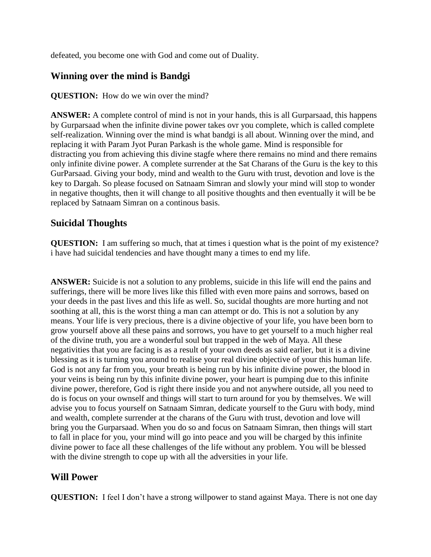defeated, you become one with God and come out of Duality.

## **Winning over the mind is Bandgi**

#### **QUESTION:** How do we win over the mind?

**ANSWER:** A complete control of mind is not in your hands, this is all Gurparsaad, this happens by Gurparsaad when the infinite divine power takes ovr you complete, which is called complete self-realization. Winning over the mind is what bandgi is all about. Winning over the mind, and replacing it with Param Jyot Puran Parkash is the whole game. Mind is responsible for distracting you from achieving this divine stagfe where there remains no mind and there remains only infinite divine power. A complete surrender at the Sat Charans of the Guru is the key to this GurParsaad. Giving your body, mind and wealth to the Guru with trust, devotion and love is the key to Dargah. So please focused on Satnaam Simran and slowly your mind will stop to wonder in negative thoughts, then it will change to all positive thoughts and then eventually it will be be replaced by Satnaam Simran on a continous basis.

#### <span id="page-42-0"></span>**Suicidal Thoughts**

**QUESTION:** I am suffering so much, that at times i question what is the point of my existence? i have had suicidal tendencies and have thought many a times to end my life.

**ANSWER:** Suicide is not a solution to any problems, suicide in this life will end the pains and sufferings, there will be more lives like this filled with even more pains and sorrows, based on your deeds in the past lives and this life as well. So, sucidal thoughts are more hurting and not soothing at all, this is the worst thing a man can attempt or do. This is not a solution by any means. Your life is very precious, there is a divine objective of your life, you have been born to grow yourself above all these pains and sorrows, you have to get yourself to a much higher real of the divine truth, you are a wonderful soul but trapped in the web of Maya. All these negativities that you are facing is as a result of your own deeds as said earlier, but it is a divine blessing as it is turning you around to realise your real divine objective of your this human life. God is not any far from you, your breath is being run by his infinite divine power, the blood in your veins is being run by this infinite divine power, your heart is pumping due to this infinite divine power, therefore, God is right there inside you and not anywhere outside, all you need to do is focus on your ownself and things will start to turn around for you by themselves. We will advise you to focus yourself on Satnaam Simran, dedicate yourself to the Guru with body, mind and wealth, complete surrender at the charans of the Guru with trust, devotion and love will bring you the Gurparsaad. When you do so and focus on Satnaam Simran, then things will start to fall in place for you, your mind will go into peace and you will be charged by this infinite divine power to face all these challenges of the life without any problem. You will be blessed with the divine strength to cope up with all the adversities in your life.

# <span id="page-42-1"></span>**Will Power**

**QUESTION:** I feel I don't have a strong will power to stand against Maya. There is not one day